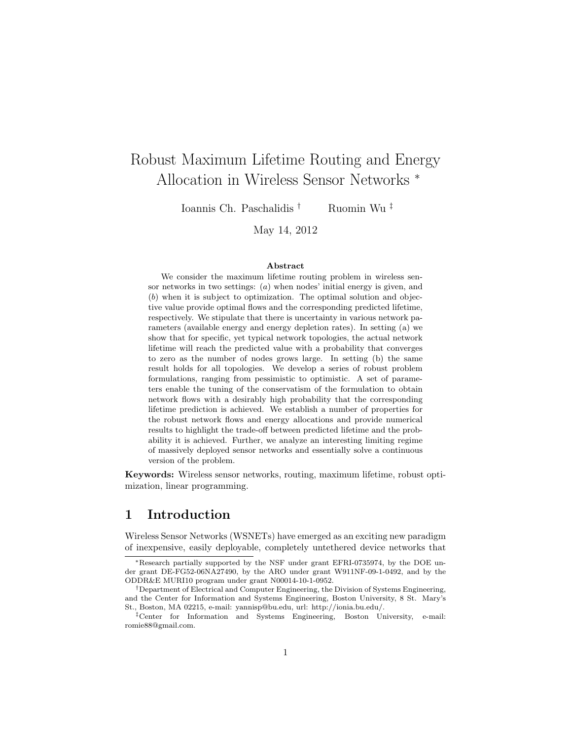# Robust Maximum Lifetime Routing and Energy Allocation in Wireless Sensor Networks <sup>∗</sup>

Ioannis Ch. Paschalidis † Ruomin Wu ‡

May 14, 2012

#### Abstract

We consider the maximum lifetime routing problem in wireless sensor networks in two settings: (a) when nodes' initial energy is given, and (b) when it is subject to optimization. The optimal solution and objective value provide optimal flows and the corresponding predicted lifetime, respectively. We stipulate that there is uncertainty in various network parameters (available energy and energy depletion rates). In setting (a) we show that for specific, yet typical network topologies, the actual network lifetime will reach the predicted value with a probability that converges to zero as the number of nodes grows large. In setting (b) the same result holds for all topologies. We develop a series of robust problem formulations, ranging from pessimistic to optimistic. A set of parameters enable the tuning of the conservatism of the formulation to obtain network flows with a desirably high probability that the corresponding lifetime prediction is achieved. We establish a number of properties for the robust network flows and energy allocations and provide numerical results to highlight the trade-off between predicted lifetime and the probability it is achieved. Further, we analyze an interesting limiting regime of massively deployed sensor networks and essentially solve a continuous version of the problem.

Keywords: Wireless sensor networks, routing, maximum lifetime, robust optimization, linear programming.

## 1 Introduction

Wireless Sensor Networks (WSNETs) have emerged as an exciting new paradigm of inexpensive, easily deployable, completely untethered device networks that

<sup>∗</sup>Research partially supported by the NSF under grant EFRI-0735974, by the DOE under grant DE-FG52-06NA27490, by the ARO under grant W911NF-09-1-0492, and by the ODDR&E MURI10 program under grant N00014-10-1-0952.

<sup>†</sup>Department of Electrical and Computer Engineering, the Division of Systems Engineering, and the Center for Information and Systems Engineering, Boston University, 8 St. Mary's St., Boston, MA 02215, e-mail: yannisp@bu.edu, url: http://ionia.bu.edu/.

<sup>‡</sup>Center for Information and Systems Engineering, Boston University, e-mail: romie88@gmail.com.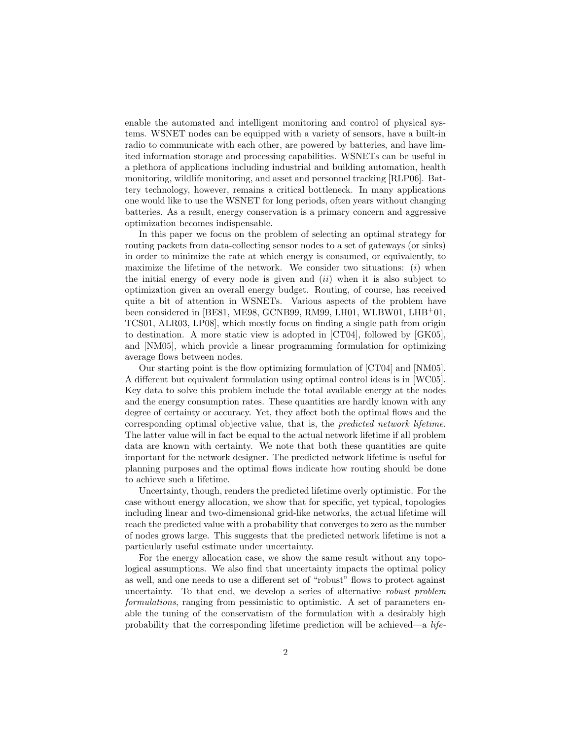enable the automated and intelligent monitoring and control of physical systems. WSNET nodes can be equipped with a variety of sensors, have a built-in radio to communicate with each other, are powered by batteries, and have limited information storage and processing capabilities. WSNETs can be useful in a plethora of applications including industrial and building automation, health monitoring, wildlife monitoring, and asset and personnel tracking [RLP06]. Battery technology, however, remains a critical bottleneck. In many applications one would like to use the WSNET for long periods, often years without changing batteries. As a result, energy conservation is a primary concern and aggressive optimization becomes indispensable.

In this paper we focus on the problem of selecting an optimal strategy for routing packets from data-collecting sensor nodes to a set of gateways (or sinks) in order to minimize the rate at which energy is consumed, or equivalently, to maximize the lifetime of the network. We consider two situations:  $(i)$  when the initial energy of every node is given and  $(ii)$  when it is also subject to optimization given an overall energy budget. Routing, of course, has received quite a bit of attention in WSNETs. Various aspects of the problem have been considered in [BE81, ME98, GCNB99, RM99, LH01, WLBW01, LHB<sup>+</sup>01, TCS01, ALR03, LP08], which mostly focus on finding a single path from origin to destination. A more static view is adopted in [CT04], followed by [GK05], and [NM05], which provide a linear programming formulation for optimizing average flows between nodes.

Our starting point is the flow optimizing formulation of [CT04] and [NM05]. A different but equivalent formulation using optimal control ideas is in [WC05]. Key data to solve this problem include the total available energy at the nodes and the energy consumption rates. These quantities are hardly known with any degree of certainty or accuracy. Yet, they affect both the optimal flows and the corresponding optimal objective value, that is, the predicted network lifetime. The latter value will in fact be equal to the actual network lifetime if all problem data are known with certainty. We note that both these quantities are quite important for the network designer. The predicted network lifetime is useful for planning purposes and the optimal flows indicate how routing should be done to achieve such a lifetime.

Uncertainty, though, renders the predicted lifetime overly optimistic. For the case without energy allocation, we show that for specific, yet typical, topologies including linear and two-dimensional grid-like networks, the actual lifetime will reach the predicted value with a probability that converges to zero as the number of nodes grows large. This suggests that the predicted network lifetime is not a particularly useful estimate under uncertainty.

For the energy allocation case, we show the same result without any topological assumptions. We also find that uncertainty impacts the optimal policy as well, and one needs to use a different set of "robust" flows to protect against uncertainty. To that end, we develop a series of alternative robust problem formulations, ranging from pessimistic to optimistic. A set of parameters enable the tuning of the conservatism of the formulation with a desirably high probability that the corresponding lifetime prediction will be achieved—a life-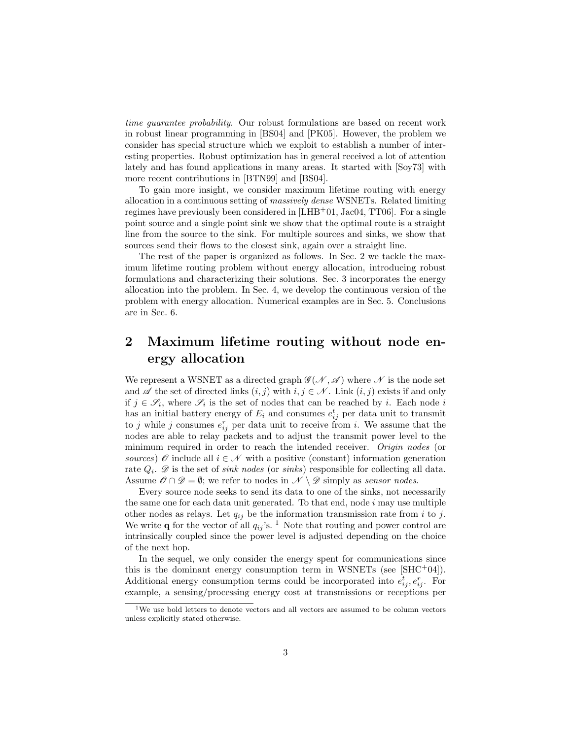time guarantee probability. Our robust formulations are based on recent work in robust linear programming in [BS04] and [PK05]. However, the problem we consider has special structure which we exploit to establish a number of interesting properties. Robust optimization has in general received a lot of attention lately and has found applications in many areas. It started with [Soy73] with more recent contributions in [BTN99] and [BS04].

To gain more insight, we consider maximum lifetime routing with energy allocation in a continuous setting of massively dense WSNETs. Related limiting regimes have previously been considered in  $[LHB<sup>+</sup>01, Jacob, TT06]$ . For a single point source and a single point sink we show that the optimal route is a straight line from the source to the sink. For multiple sources and sinks, we show that sources send their flows to the closest sink, again over a straight line.

The rest of the paper is organized as follows. In Sec. 2 we tackle the maximum lifetime routing problem without energy allocation, introducing robust formulations and characterizing their solutions. Sec. 3 incorporates the energy allocation into the problem. In Sec. 4, we develop the continuous version of the problem with energy allocation. Numerical examples are in Sec. 5. Conclusions are in Sec. 6.

## 2 Maximum lifetime routing without node energy allocation

We represent a WSNET as a directed graph  $\mathscr{G}(\mathcal{N}, \mathscr{A})$  where  $\mathscr{N}$  is the node set and  $\mathscr A$  the set of directed links  $(i, j)$  with  $i, j \in \mathscr N$ . Link  $(i, j)$  exists if and only if  $j \in \mathscr{S}_i$ , where  $\mathscr{S}_i$  is the set of nodes that can be reached by *i*. Each node *i* has an initial battery energy of  $E_i$  and consumes  $e_{ij}^t$  per data unit to transmit to j while j consumes  $e_{ij}^r$  per data unit to receive from i. We assume that the nodes are able to relay packets and to adjust the transmit power level to the minimum required in order to reach the intended receiver. Origin nodes (or sources)  $\mathscr O$  include all  $i \in \mathscr N$  with a positive (constant) information generation rate  $Q_i$ .  $\mathscr{D}$  is the set of *sink nodes* (or *sinks*) responsible for collecting all data. Assume  $\mathscr{O} \cap \mathscr{D} = \emptyset$ ; we refer to nodes in  $\mathscr{N} \setminus \mathscr{D}$  simply as sensor nodes.

Every source node seeks to send its data to one of the sinks, not necessarily the same one for each data unit generated. To that end, node  $i$  may use multiple other nodes as relays. Let  $q_{ij}$  be the information transmission rate from i to j. We write **q** for the vector of all  $q_{ij}$ 's. <sup>1</sup> Note that routing and power control are intrinsically coupled since the power level is adjusted depending on the choice of the next hop.

In the sequel, we only consider the energy spent for communications since this is the dominant energy consumption term in WSNETs (see  $[SHC^+04]$ ). Additional energy consumption terms could be incorporated into  $e_{ij}^t, e_{ij}^r$ . For example, a sensing/processing energy cost at transmissions or receptions per

 $^{1}\mathrm{We}$  use bold letters to denote vectors and all vectors are assumed to be column vectors unless explicitly stated otherwise.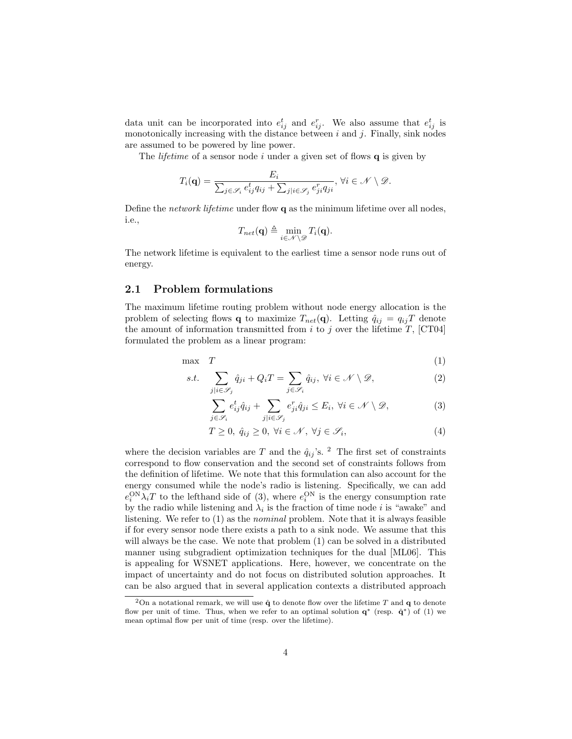data unit can be incorporated into  $e_{ij}^t$  and  $e_{ij}^r$ . We also assume that  $e_{ij}^t$  is monotonically increasing with the distance between  $i$  and  $j$ . Finally, sink nodes are assumed to be powered by line power.

The *lifetime* of a sensor node i under a given set of flows  $q$  is given by

$$
T_i(\mathbf{q}) = \frac{E_i}{\sum_{j \in \mathcal{S}_i} e_{ij}^t q_{ij} + \sum_{j \mid i \in \mathcal{S}_j} e_{ji}^r q_{ji}}, \forall i \in \mathcal{N} \setminus \mathcal{D}.
$$

Define the *network lifetime* under flow  $q$  as the minimum lifetime over all nodes, i.e.,

$$
T_{net}(\mathbf{q}) \triangleq \min_{i \in \mathcal{N} \setminus \mathcal{D}} T_i(\mathbf{q}).
$$

The network lifetime is equivalent to the earliest time a sensor node runs out of energy.

## 2.1 Problem formulations

The maximum lifetime routing problem without node energy allocation is the problem of selecting flows **q** to maximize  $T_{net}(\mathbf{q})$ . Letting  $\hat{q}_{ij} = q_{ij}T$  denote the amount of information transmitted from  $i$  to  $j$  over the lifetime  $T$ , [CT04] formulated the problem as a linear program:

$$
\max \quad T \tag{1}
$$

s.t. 
$$
\sum_{j|i\in\mathscr{S}_j} \hat{q}_{ji} + Q_i T = \sum_{j\in\mathscr{S}_i} \hat{q}_{ij}, \ \forall i \in \mathscr{N} \setminus \mathscr{D},
$$
 (2)

$$
\sum_{j \in \mathscr{S}_i} e^t_{ij} \hat{q}_{ij} + \sum_{j \mid i \in \mathscr{S}_j} e^r_{ji} \hat{q}_{ji} \le E_i, \ \forall i \in \mathscr{N} \setminus \mathscr{D},\tag{3}
$$

$$
T \geq 0, \ \hat{q}_{ij} \geq 0, \ \forall i \in \mathcal{N}, \ \forall j \in \mathcal{S}_i,
$$
\n
$$
\tag{4}
$$

where the decision variables are T and the  $\hat{q}_{ij}$ 's. <sup>2</sup> The first set of constraints correspond to flow conservation and the second set of constraints follows from the definition of lifetime. We note that this formulation can also account for the energy consumed while the node's radio is listening. Specifically, we can add  $e_i^{\text{ON}}\lambda_i T$  to the lefthand side of (3), where  $e_i^{\text{ON}}$  is the energy consumption rate by the radio while listening and  $\lambda_i$  is the fraction of time node *i* is "awake" and listening. We refer to  $(1)$  as the *nominal* problem. Note that it is always feasible if for every sensor node there exists a path to a sink node. We assume that this will always be the case. We note that problem (1) can be solved in a distributed manner using subgradient optimization techniques for the dual [ML06]. This is appealing for WSNET applications. Here, however, we concentrate on the impact of uncertainty and do not focus on distributed solution approaches. It can be also argued that in several application contexts a distributed approach

<sup>&</sup>lt;sup>2</sup>On a notational remark, we will use  $\hat{\mathbf{q}}$  to denote flow over the lifetime T and  $\mathbf{q}$  to denote flow per unit of time. Thus, when we refer to an optimal solution  $q^*$  (resp.  $\hat{q}^*$ ) of (1) we mean optimal flow per unit of time (resp. over the lifetime).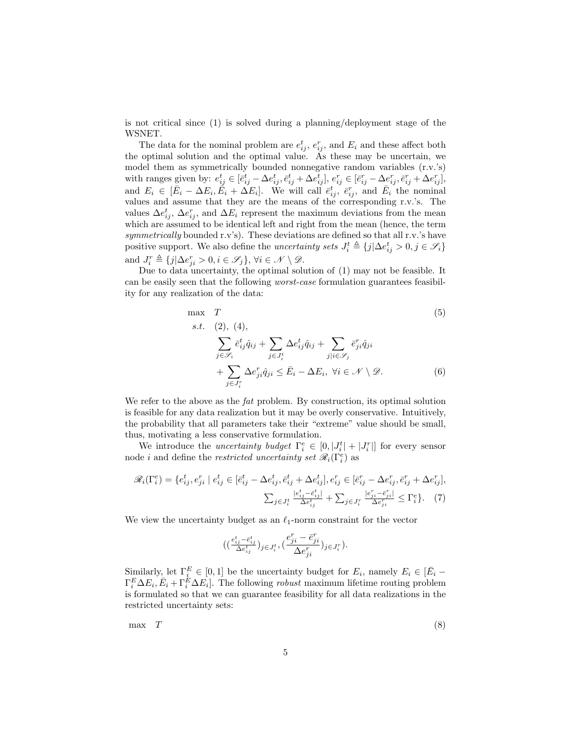is not critical since (1) is solved during a planning/deployment stage of the WSNET.

The data for the nominal problem are  $e_{ij}^t$ ,  $e_{ij}^r$ , and  $E_i$  and these affect both the optimal solution and the optimal value. As these may be uncertain, we model them as symmetrically bounded nonnegative random variables (r.v.'s) with ranges given by:  $e_{ij}^t \in [\bar{e}_{ij}^t - \Delta e_{ij}^t, \bar{e}_{ij}^t + \Delta e_{ij}^t], e_{ij}^r \in [\bar{e}_{ij}^r - \Delta e_{ij}^r, \bar{e}_{ij}^r + \Delta e_{ij}^r],$ and  $E_i \in [\bar{E}_i - \Delta E_i, \bar{E}_i + \Delta E_i]$ . We will call  $\bar{e}_{ij}^t$ ,  $\bar{e}_{ij}^r$ , and  $\bar{E}_i$  the nominal values and assume that they are the means of the corresponding r.v.'s. The values  $\Delta e_{ij}^t$ ,  $\Delta e_{ij}^r$ , and  $\Delta E_i$  represent the maximum deviations from the mean which are assumed to be identical left and right from the mean (hence, the term symmetrically bounded r.v's). These deviations are defined so that all r.v.'s have positive support. We also define the *uncertainty sets*  $J_i^t \triangleq \{j | \Delta e_{ij}^t > 0, j \in \mathcal{S}_i\}$ and  $J_i^r \triangleq \{j | \Delta e_{ji}^r > 0, i \in \mathscr{S}_j \}, \forall i \in \mathscr{N} \setminus \mathscr{D}$ .

Due to data uncertainty, the optimal solution of (1) may not be feasible. It can be easily seen that the following worst-case formulation guarantees feasibility for any realization of the data:

max 
$$
T
$$
  
\ns.t. (2), (4),  
\n
$$
\sum_{j \in \mathcal{S}_i} \bar{e}_{ij}^t \hat{q}_{ij} + \sum_{j \in J_i^t} \Delta e_{ij}^t \hat{q}_{ij} + \sum_{j \mid i \in \mathcal{S}_j} \bar{e}_{ji}^r \hat{q}_{ji}
$$
\n
$$
+ \sum_{j \in J_i^r} \Delta e_{ji}^r \hat{q}_{ji} \leq \bar{E}_i - \Delta E_i, \ \forall i \in \mathcal{N} \setminus \mathcal{D}.
$$
\n(6)

We refer to the above as the *fat* problem. By construction, its optimal solution is feasible for any data realization but it may be overly conservative. Intuitively, the probability that all parameters take their "extreme" value should be small, thus, motivating a less conservative formulation.

We introduce the *uncertainty budget*  $\Gamma_i^e \in [0, |J_i^t| + |J_i^r|]$  for every sensor node *i* and define the *restricted uncertainty set*  $\mathcal{R}_i(\Gamma_i^e)$  as

$$
\mathcal{R}_{i}(\Gamma_{i}^{e}) = \{e_{ij}^{t}, e_{ji}^{r} \mid e_{ij}^{t} \in [\bar{e}_{ij}^{t} - \Delta e_{ij}^{t}, \bar{e}_{ij}^{t} + \Delta e_{ij}^{t}], e_{ij}^{r} \in [\bar{e}_{ij}^{r} - \Delta e_{ij}^{r}, \bar{e}_{ij}^{r} + \Delta e_{ij}^{r}],\newline \sum_{j \in J_{i}^{t}} \frac{|e_{ij}^{t} - \bar{e}_{ij}^{t}|}{\Delta e_{ij}^{t}} + \sum_{j \in J_{i}^{r}} \frac{|e_{ji}^{r} - \bar{e}_{ji}^{r}|}{\Delta e_{ji}^{r}} \leq \Gamma_{i}^{e}\}.
$$
\n(7)

We view the uncertainty budget as an  $\ell_1$ -norm constraint for the vector

$$
\big((\tfrac{e^t_{ij}-\bar{e}^t_{ij}}{\Delta e^t_{ij}})_{j\in J^t_i}, (\tfrac{e^r_{ji}-\bar{e}^r_{ji}}{\Delta e^r_{ji}})_{j\in J^r_i}\big).
$$

Similarly, let  $\Gamma_{i}^{E} \in [0,1]$  be the uncertainty budget for  $E_i$ , namely  $E_i \in [\bar{E}_i - \bar{E}_i]$  $\Gamma_i^E \Delta E_i, \bar{E}_i + \Gamma_i^E \Delta E_i$ . The following *robust* maximum lifetime routing problem is formulated so that we can guarantee feasibility for all data realizations in the restricted uncertainty sets:

 $\max$   $T$  (8)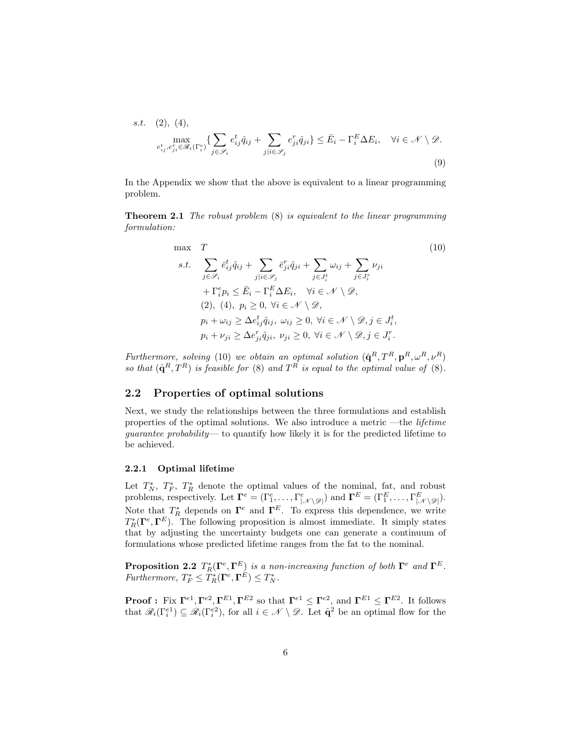s.t. (2), (4),  
\n
$$
\max_{e_{ij}^t, e_{ji}^r \in \mathcal{R}_i(\Gamma_i^e)} \{ \sum_{j \in \mathcal{S}_i} e_{ij}^t \hat{q}_{ij} + \sum_{j \mid i \in \mathcal{S}_j} e_{ji}^r \hat{q}_{ji} \} \leq \bar{E}_i - \Gamma_i^E \Delta E_i, \quad \forall i \in \mathcal{N} \setminus \mathcal{D}.
$$
\n(9)

In the Appendix we show that the above is equivalent to a linear programming problem.

**Theorem 2.1** The robust problem  $(8)$  is equivalent to the linear programming formulation:

$$
\max \quad T
$$
\n
$$
s.t. \quad \sum_{j \in \mathcal{S}_i} \bar{e}_{ij}^t \hat{q}_{ij} + \sum_{j \in \mathcal{S}_j} \bar{e}_{ji}^r \hat{q}_{ji} + \sum_{j \in J_i^t} \omega_{ij} + \sum_{j \in J_i^r} \nu_{ji}
$$
\n
$$
+ \Gamma_i^e p_i \le \bar{E}_i - \Gamma_i^E \Delta E_i, \quad \forall i \in \mathcal{N} \setminus \mathcal{D},
$$
\n
$$
(2), \ (4), \ p_i \ge 0, \ \forall i \in \mathcal{N} \setminus \mathcal{D},
$$
\n
$$
p_i + \omega_{ij} \ge \Delta e_{ij}^t \hat{q}_{ij}, \ \omega_{ij} \ge 0, \ \forall i \in \mathcal{N} \setminus \mathcal{D}, j \in J_i^t,
$$
\n
$$
p_i + \nu_{ji} \ge \Delta e_{ji}^r \hat{q}_{ji}, \ \nu_{ji} \ge 0, \ \forall i \in \mathcal{N} \setminus \mathcal{D}, j \in J_i^r.
$$
\n
$$
(10)
$$

Furthermore, solving (10) we obtain an optimal solution  $(\hat{\mathbf{q}}^R, T^R, \mathbf{p}^R, \omega^R, \nu^R)$ so that  $(\hat{\mathbf{q}}^R, T^R)$  is feasible for (8) and  $T^R$  is equal to the optimal value of (8).

## 2.2 Properties of optimal solutions

Next, we study the relationships between the three formulations and establish properties of the optimal solutions. We also introduce a metric —the *lifetime* guarantee probability— to quantify how likely it is for the predicted lifetime to be achieved.

## 2.2.1 Optimal lifetime

Let  $T_N^*$ ,  $T_F^*$ ,  $T_R^*$  denote the optimal values of the nominal, fat, and robust problems, respectively. Let  $\mathbf{\Gamma}^e = (\Gamma_1^e, \dots, \Gamma_{|\mathcal{N}\setminus \mathcal{D}|}^e)$  and  $\mathbf{\Gamma}^E = (\Gamma_1^E, \dots, \Gamma_{|\mathcal{N}\setminus \mathcal{D}|}^E)$ . Note that  $T_R^*$  depends on  $\Gamma^e$  and  $\Gamma^E$ . To express this dependence, we write  $T^*_R(\Gamma^e, \Gamma^E)$ . The following proposition is almost immediate. It simply states that by adjusting the uncertainty budgets one can generate a continuum of formulations whose predicted lifetime ranges from the fat to the nominal.

**Proposition 2.2**  $T^*_R(\Gamma^e, \Gamma^E)$  is a non-increasing function of both  $\Gamma^e$  and  $\Gamma^E$ . Furthermore,  $T_F^* \leq T_R^*(\mathbf{\Gamma}^e, \mathbf{\Gamma}^E) \leq T_N^*$ .

**Proof :** Fix  $\Gamma^{e1}$ ,  $\Gamma^{e2}$ ,  $\Gamma^{E1}$ ,  $\Gamma^{E2}$  so that  $\Gamma^{e1} \leq \Gamma^{e2}$ , and  $\Gamma^{E1} \leq \Gamma^{E2}$ . It follows that  $\mathscr{R}_i(\Gamma_i^{e_1}) \subseteq \mathscr{R}_i(\Gamma_i^{e_2})$ , for all  $i \in \mathscr{N} \setminus \mathscr{D}$ . Let  $\hat{\mathbf{q}}^2$  be an optimal flow for the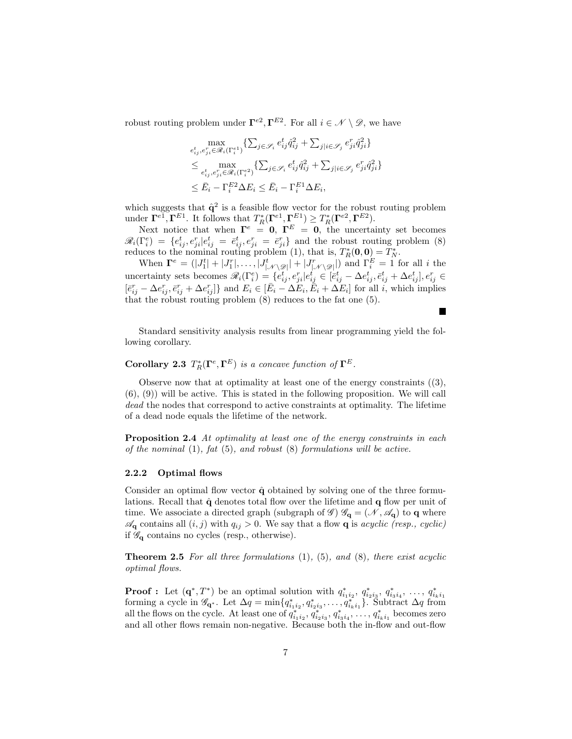robust routing problem under  $\Gamma^{e2}, \Gamma^{E2}$ . For all  $i \in \mathcal{N} \setminus \mathcal{D}$ , we have

$$
\max_{\substack{e_{ij}^t, e_{ji}^r \in \mathcal{R}_i(\Gamma_i^e1) \\ \leq \max_{e_{ij}^t, e_{ji}^r \in \mathcal{R}_i(\Gamma_i^e2) \\ \leq \sum_{i}^t e_{ij}^r \in \mathcal{R}_i(\Gamma_i^e2) \\ \leq \bar{E}_i - \Gamma_i^{E2} \Delta E_i \leq \bar{E}_i - \Gamma_i^{E1} \Delta E_i,}
$$

which suggests that  $\hat{q}^2$  is a feasible flow vector for the robust routing problem under  $\Gamma^{e_1}, \Gamma^{E_1}$ . It follows that  $T_R^*(\Gamma^{e_1}, \Gamma^{E_1}) \geq T_R^*(\Gamma^{e_2}, \Gamma^{E_2})$ .

Next notice that when  $\mathbf{\Gamma}^e = \mathbf{0}, \ \mathbf{\Gamma}^E = \mathbf{0},$  the uncertainty set becomes  $\mathscr{R}_i(\Gamma_i^e) = \{e_{ij}^t, e_{ji}^r | e_{ij}^t = \bar{e}_{ij}^t, e_{ji}^r = \bar{e}_{ji}^r\}$  and the robust routing problem (8) reduces to the nominal routing problem (1), that is,  $T_R^*(0,0) = T_N^*$ .

When  $\mathbf{\Gamma}^e = (|J_1^t| + |J_1^r|, \ldots, |J_{|\mathcal{N}\setminus\mathscr{D}|}^t| + |J_{|\mathcal{N}\setminus\mathscr{D}|}^r|)$  and  $\Gamma_i^E = 1$  for all i the uncertainty sets becomes  $\mathscr{R}_i(\Gamma_i^e) = \{e_{ij}^t, e_{ji}^r | e_{ij}^t \in [\bar{e}_{ij}^t - \Delta e_{ij}^t, \bar{e}_{ij}^t + \Delta e_{ij}^t], e_{ij}^r \in$  $[\bar{e}_{ij}^r - \Delta e_{ij}^r, \bar{e}_{ij}^r + \Delta e_{ij}^r]$  and  $E_i \in [\bar{E}_i - \Delta E_i, \bar{E}_i + \Delta E_i]$  for all i, which implies that the robust routing problem (8) reduces to the fat one (5).

**Includes** 

Standard sensitivity analysis results from linear programming yield the following corollary.

Corollary 2.3  $T_R^*(\Gamma^e, \Gamma^E)$  is a concave function of  $\Gamma^E$ .

Observe now that at optimality at least one of the energy constraints  $((3),$ (6), (9)) will be active. This is stated in the following proposition. We will call dead the nodes that correspond to active constraints at optimality. The lifetime of a dead node equals the lifetime of the network.

**Proposition 2.4** At optimality at least one of the energy constraints in each of the nominal  $(1)$ , fat  $(5)$ , and robust  $(8)$  formulations will be active.

#### 2.2.2 Optimal flows

Consider an optimal flow vector  $\hat{q}$  obtained by solving one of the three formulations. Recall that  $\hat{q}$  denotes total flow over the lifetime and  $q$  flow per unit of time. We associate a directed graph (subgraph of  $\mathscr{G}$ )  $\mathscr{G}_{q} = (\mathscr{N}, \mathscr{A}_{q})$  to q where  $\mathscr{A}_{\mathbf{q}}$  contains all  $(i, j)$  with  $q_{ij} > 0$ . We say that a flow **q** is *acyclic (resp., cyclic)* if  $\mathscr{G}_{q}$  contains no cycles (resp., otherwise).

**Theorem 2.5** For all three formulations  $(1)$ ,  $(5)$ , and  $(8)$ , there exist acyclic optimal flows.

**Proof :** Let  $(\mathbf{q}^*, T^*)$  be an optimal solution with  $q_{i_1 i_2}^*, q_{i_2 i_3}^*, q_{i_3 i_4}^*, \ldots, q_{i_k i_1}^*$  forming a cycle in  $\mathcal{G}_{\mathbf{q}^*}$ . Let  $\Delta q = \min\{q_{i_1 i_2}^*, q_{i_2 i_3}^*, \ldots, q_{i_k i_1}^*\}$ . Subtract  $\Delta q$  from all the flows on the cycle. At least one of  $q_{i_1i_2}^*, q_{i_2i_3}^*, q_{i_3i_4}^*, \ldots, q_{i_ki_1}^*$  becomes zero and all other flows remain non-negative. Because both the in-flow and out-flow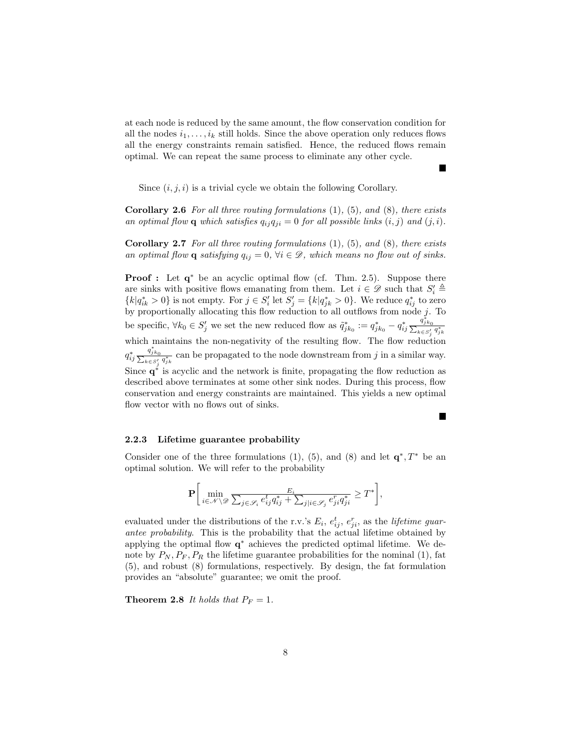at each node is reduced by the same amount, the flow conservation condition for all the nodes  $i_1, \ldots, i_k$  still holds. Since the above operation only reduces flows all the energy constraints remain satisfied. Hence, the reduced flows remain optimal. We can repeat the same process to eliminate any other cycle.

Б

Г

Since  $(i, j, i)$  is a trivial cycle we obtain the following Corollary.

**Corollary 2.6** For all three routing formulations  $(1)$ ,  $(5)$ , and  $(8)$ , there exists an optimal flow **q** which satisfies  $q_{ij}q_{ji} = 0$  for all possible links  $(i, j)$  and  $(j, i)$ .

**Corollary 2.7** For all three routing formulations  $(1)$ ,  $(5)$ , and  $(8)$ , there exists an optimal flow **q** satisfying  $q_{ij} = 0$ ,  $\forall i \in \mathcal{D}$ , which means no flow out of sinks.

**Proof**: Let  $q^*$  be an acyclic optimal flow (cf. Thm. 2.5). Suppose there are sinks with positive flows emanating from them. Let  $i \in \mathscr{D}$  such that  $S_i' \triangleq$  ${k|q^*_{ik} > 0}$  is not empty. For  $j \in S'_i$  let  $S'_j = {k|q^*_{jk} > 0}$ . We reduce  $q^*_{ij}$  to zero by proportionally allocating this flow reduction to all outflows from node  $\int_{\mathbb{R}^n}$ . To be specific,  $\forall k_0 \in S'_j$  we set the new reduced flow as  $\tilde{q}_{jk_0}^* := q_{jk_0}^* - q_{ij}^*$  $\frac{q_{jk_0}^*}{\sum_{k\in S_j'} q_{jk}^*}$ which maintains the non-negativity of the resulting flow. The flow reduction  $q_{ij}^*$  $\sum_{k \in S'_j} \frac{q_{jk_0}^*}{q_{jk}^*}$  can be propagated to the node downstream from j in a similar way. Since  $q^*$  is acyclic and the network is finite, propagating the flow reduction as described above terminates at some other sink nodes. During this process, flow conservation and energy constraints are maintained. This yields a new optimal flow vector with no flows out of sinks.

#### 2.2.3 Lifetime guarantee probability

Consider one of the three formulations (1), (5), and (8) and let  $\mathbf{q}^*, T^*$  be an optimal solution. We will refer to the probability

$$
\mathbf{P}\bigg[\min_{i\in\mathcal{N}\setminus\mathcal{D}}\frac{E_i}{\sum_{j\in\mathcal{S}_i}e_{ij}^t q_{ij}^* + \sum_{j|i\in\mathcal{S}_j}e_{ji}^r q_{ji}^*} \geq T^*\bigg],
$$

evaluated under the distributions of the r.v.'s  $E_i$ ,  $e_{ij}^t$ ,  $e_{ji}^r$ , as the *lifetime guar*antee probability. This is the probability that the actual lifetime obtained by applying the optimal flow  $q^*$  achieves the predicted optimal lifetime. We denote by  $P_N$ ,  $P_F$ ,  $P_R$  the lifetime guarantee probabilities for the nominal (1), fat (5), and robust (8) formulations, respectively. By design, the fat formulation provides an "absolute" guarantee; we omit the proof.

**Theorem 2.8** It holds that  $P_F = 1$ .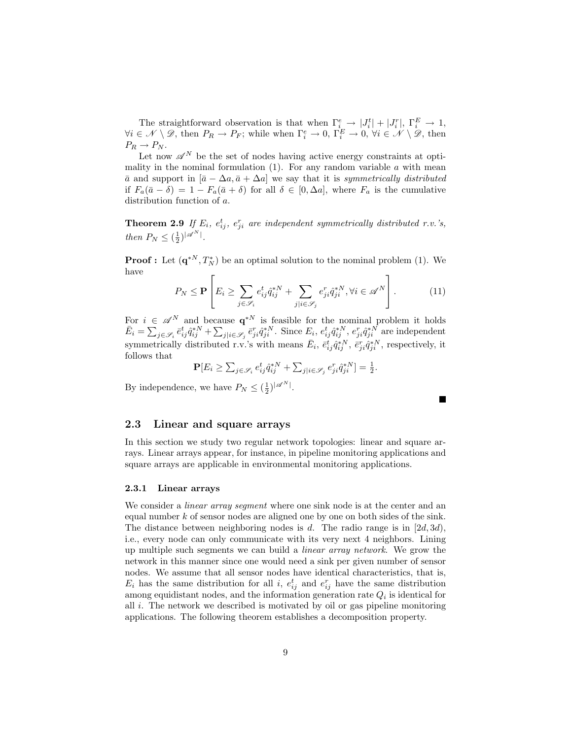The straightforward observation is that when  $\Gamma_i^e \rightarrow |J_i^t| + |J_i^r|$ ,  $\Gamma_i^E \rightarrow 1$ ,  $\forall i \in \mathcal{N} \setminus \mathcal{D}$ , then  $P_R \to P_F$ ; while when  $\Gamma_i^e \to 0$ ,  $\Gamma_i^E \to 0$ ,  $\forall i \in \mathcal{N} \setminus \mathcal{D}$ , then  $P_R \to P_N$ .

Let now  $\mathscr{A}^N$  be the set of nodes having active energy constraints at optimality in the nominal formulation  $(1)$ . For any random variable  $a$  with mean  $\bar{a}$  and support in  $[\bar{a} - \Delta a, \bar{a} + \Delta a]$  we say that it is symmetrically distributed if  $F_a(\bar{a}-\delta)=1-F_a(\bar{a}+\delta)$  for all  $\delta \in [0,\Delta a]$ , where  $F_a$  is the cumulative distribution function of a.

**Theorem 2.9** If  $E_i$ ,  $e_{ij}^t$ ,  $e_{ji}^r$  are independent symmetrically distributed r.v.'s, then  $P_N \leq (\frac{1}{2})^{|\mathscr{A}^N|}$ .

**Proof**: Let  $(\mathbf{q}^{*N}, T_N^*)$  be an optimal solution to the nominal problem (1). We have

$$
P_N \le \mathbf{P} \left[ E_i \ge \sum_{j \in \mathscr{S}_i} e_{ij}^t \hat{q}_{ij}^{*N} + \sum_{j \mid i \in \mathscr{S}_j} e_{ji}^r \hat{q}_{ji}^{*N}, \forall i \in \mathscr{A}^N \right]. \tag{11}
$$

For  $i \in \mathscr{A}^N$  and because  $\mathbf{q}^{*N}$  is feasible for the nominal problem it holds  $\bar{E}_i = \sum_{j \in \mathscr{S}_i} \bar{e}_{ij}^t \hat{q}_{ij}^{*N} + \sum_{j \mid i \in \mathscr{S}_j} \bar{e}_{ji}^r \hat{q}_{ji}^{*N}$ . Since  $E_i$ ,  $e_{ij}^t \hat{q}_{ij}^{*N}$ ,  $e_{ji}^r \hat{q}_{ji}^{*N}$  are independent symmetrically distributed r.v.'s with means  $\bar{E}_i$ ,  $\bar{e}_{ij}^t \hat{q}_{ij}^{*N}$ ,  $\bar{e}_{ji}^r \hat{q}_{ji}^{*N}$ , respectively, it follows that

 ${\bf P}[E_i \geq \sum_{j \in \mathscr{S}_i} e_{ij}^t \hat{q}_{ij}^{*N} + \sum_{j \mid i \in \mathscr{S}_j} e_{ji}^r \hat{q}_{ji}^{*N}] = \frac{1}{2}.$ 

By independence, we have  $P_N \leq (\frac{1}{2})^{|\mathscr{A}^N|}$ .

## 2.3 Linear and square arrays

In this section we study two regular network topologies: linear and square arrays. Linear arrays appear, for instance, in pipeline monitoring applications and square arrays are applicable in environmental monitoring applications.

## 2.3.1 Linear arrays

We consider a *linear array segment* where one sink node is at the center and an equal number k of sensor nodes are aligned one by one on both sides of the sink. The distance between neighboring nodes is  $d$ . The radio range is in  $[2d, 3d)$ , i.e., every node can only communicate with its very next 4 neighbors. Lining up multiple such segments we can build a linear array network. We grow the network in this manner since one would need a sink per given number of sensor nodes. We assume that all sensor nodes have identical characteristics, that is,  $E_i$  has the same distribution for all i,  $e_{ij}^t$  and  $e_{ij}^r$  have the same distribution among equidistant nodes, and the information generation rate  $Q_i$  is identical for all  $i$ . The network we described is motivated by oil or gas pipeline monitoring applications. The following theorem establishes a decomposition property.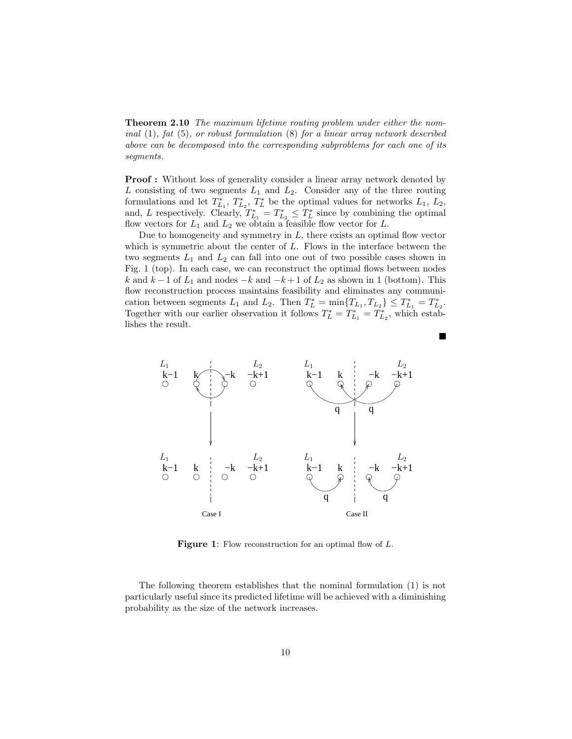Theorem 2.10 The maximum lifetime routing problem under either the nominal (1), fat (5), or robust formulation (8) for a linear array network described above can be decomposed into the corresponding subproblems for each one of its segments.

Proof : Without loss of generality consider a linear array network denoted by L consisting of two segments  $L_1$  and  $L_2$ . Consider any of the three routing formulations and let  $T_{L_1}^*, T_{L_2}^*, T_L^*$  be the optimal values for networks  $L_1, L_2$ , and, L respectively. Clearly,  $T_{L_1}^* = T_{L_2}^* \leq T_L^*$  since by combining the optimal flow vectors for  $L_1$  and  $L_2$  we obtain a feasible flow vector for  $L$ .

Due to homogeneity and symmetry in  $L$ , there exists an optimal flow vector which is symmetric about the center of  $L$ . Flows in the interface between the two segments  $L_1$  and  $L_2$  can fall into one out of two possible cases shown in Fig. 1 (top). In each case, we can reconstruct the optimal flows between nodes k and k − 1 of  $L_1$  and nodes  $-k$  and  $-k+1$  of  $L_2$  as shown in 1 (bottom). This flow reconstruction process maintains feasibility and eliminates any communication between segments  $L_1$  and  $L_2$ . Then  $T_L^* = \min\{T_{L_1}, T_{L_2}\} \leq T_{L_1}^* = T_{L_2}^*$ . Together with our earlier observation it follows  $T_L^* = T_{L_1}^* = T_{L_2}^*$ , which establishes the result.

П



Figure 1: Flow reconstruction for an optimal flow of L.

The following theorem establishes that the nominal formulation (1) is not particularly useful since its predicted lifetime will be achieved with a diminishing probability as the size of the network increases.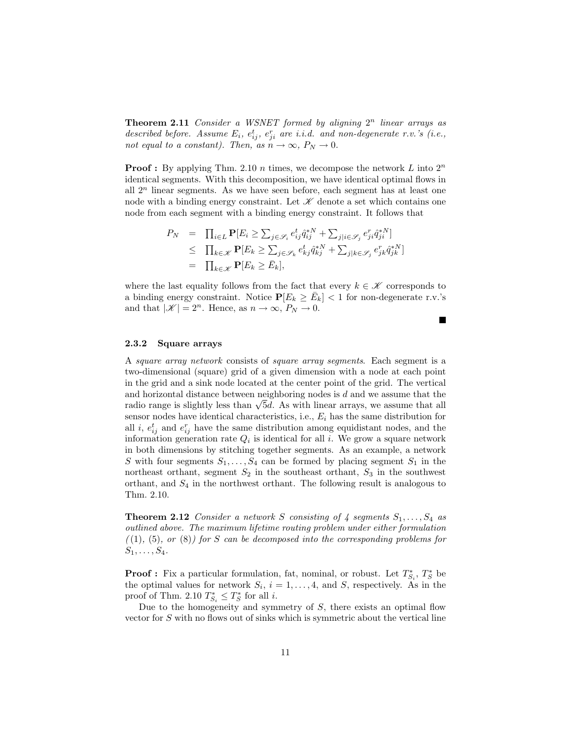**Theorem 2.11** Consider a WSNET formed by aligning  $2^n$  linear arrays as described before. Assume  $E_i$ ,  $e_{ij}^t$ ,  $e_{ji}^r$  are i.i.d. and non-degenerate r.v.'s (i.e., not equal to a constant). Then, as  $n \to \infty$ ,  $P_N \to 0$ .

**Proof :** By applying Thm. 2.10 *n* times, we decompose the network L into  $2^n$ identical segments. With this decomposition, we have identical optimal flows in all  $2^n$  linear segments. As we have seen before, each segment has at least one node with a binding energy constraint. Let  $\mathscr K$  denote a set which contains one node from each segment with a binding energy constraint. It follows that

$$
P_N = \prod_{i \in L} \mathbf{P}[E_i \ge \sum_{j \in \mathcal{S}_i} e_{ij}^t \hat{q}_{ij}^{*N} + \sum_{j|i \in \mathcal{S}_j} e_{ji}^r \hat{q}_{ji}^{*N}]
$$
  
\n
$$
\le \prod_{k \in \mathcal{K}} \mathbf{P}[E_k \ge \sum_{j \in \mathcal{S}_k} e_{kj}^t \hat{q}_{kj}^{*N} + \sum_{j|k \in \mathcal{S}_j} e_{jk}^r \hat{q}_{jk}^{*N}]
$$
  
\n
$$
= \prod_{k \in \mathcal{K}} \mathbf{P}[E_k \ge \bar{E}_k],
$$

where the last equality follows from the fact that every  $k \in \mathcal{K}$  corresponds to a binding energy constraint. Notice  $P[E_k \ge \bar{E}_k] < 1$  for non-degenerate r.v.'s and that  $|\mathscr{K}| = 2^n$ . Hence, as  $n \to \infty$ ,  $P_N \to 0$ .

 $\blacksquare$ 

### 2.3.2 Square arrays

A square array network consists of square array segments. Each segment is a two-dimensional (square) grid of a given dimension with a node at each point in the grid and a sink node located at the center point of the grid. The vertical and horizontal distance between neighboring nodes is  $d$  and we assume that the radio range is slightly less than  $\sqrt{5}d$ . As with linear arrays, we assume that all sensor nodes have identical characteristics, i.e.,  $E_i$  has the same distribution for all *i*,  $e_{ij}^t$  and  $e_{ij}^r$  have the same distribution among equidistant nodes, and the information generation rate  $Q_i$  is identical for all i. We grow a square network in both dimensions by stitching together segments. As an example, a network S with four segments  $S_1, \ldots, S_4$  can be formed by placing segment  $S_1$  in the northeast orthant, segment  $S_2$  in the southeast orthant,  $S_3$  in the southwest orthant, and  $S_4$  in the northwest orthant. The following result is analogous to Thm. 2.10.

**Theorem 2.12** Consider a network S consisting of 4 segments  $S_1, \ldots, S_4$  as outlined above. The maximum lifetime routing problem under either formulation  $((1), (5), or (8))$  for S can be decomposed into the corresponding problems for  $S_1, \ldots, S_4$ .

**Proof**: Fix a particular formulation, fat, nominal, or robust. Let  $T_{S_i}^*$ ,  $T_S^*$  be the optimal values for network  $S_i$ ,  $i = 1, \ldots, 4$ , and S, respectively. As in the proof of Thm. 2.10  $T_{S_i}^* \leq T_S^*$  for all *i*.

Due to the homogeneity and symmetry of  $S$ , there exists an optimal flow vector for  $S$  with no flows out of sinks which is symmetric about the vertical line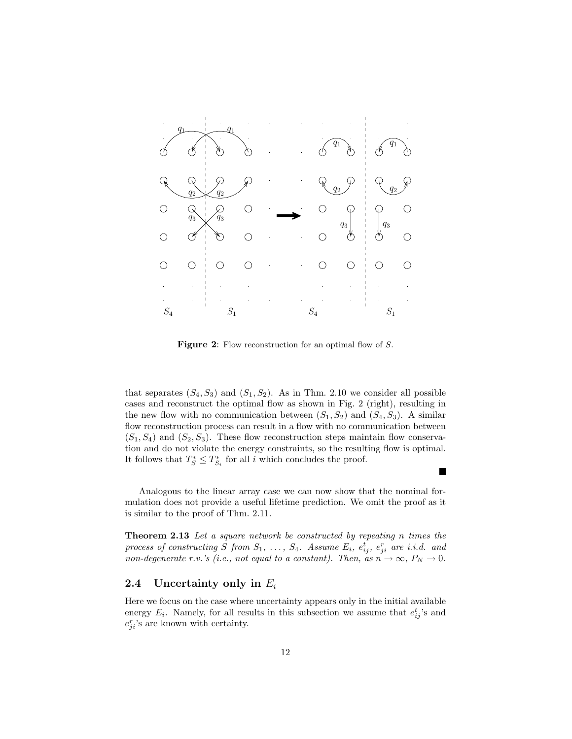

Figure 2: Flow reconstruction for an optimal flow of S.

that separates  $(S_4, S_3)$  and  $(S_1, S_2)$ . As in Thm. 2.10 we consider all possible cases and reconstruct the optimal flow as shown in Fig. 2 (right), resulting in the new flow with no communication between  $(S_1, S_2)$  and  $(S_4, S_3)$ . A similar flow reconstruction process can result in a flow with no communication between  $(S_1, S_4)$  and  $(S_2, S_3)$ . These flow reconstruction steps maintain flow conservation and do not violate the energy constraints, so the resulting flow is optimal. It follows that  $T_S^* \leq T_{S_i}^*$  for all i which concludes the proof.

Analogous to the linear array case we can now show that the nominal formulation does not provide a useful lifetime prediction. We omit the proof as it is similar to the proof of Thm. 2.11.

 $\blacksquare$ 

**Theorem 2.13** Let a square network be constructed by repeating n times the process of constructing S from  $S_1, \ldots, S_4$ . Assume  $E_i, e_{ij}^t, e_{ji}^r$  are i.i.d. and non-degenerate r.v.'s (i.e., not equal to a constant). Then, as  $n \to \infty$ ,  $P_N \to 0$ .

## 2.4 Uncertainty only in  $E_i$

Here we focus on the case where uncertainty appears only in the initial available energy  $E_i$ . Namely, for all results in this subsection we assume that  $e_{ij}^t$ 's and  $e_{ji}^r$ 's are known with certainty.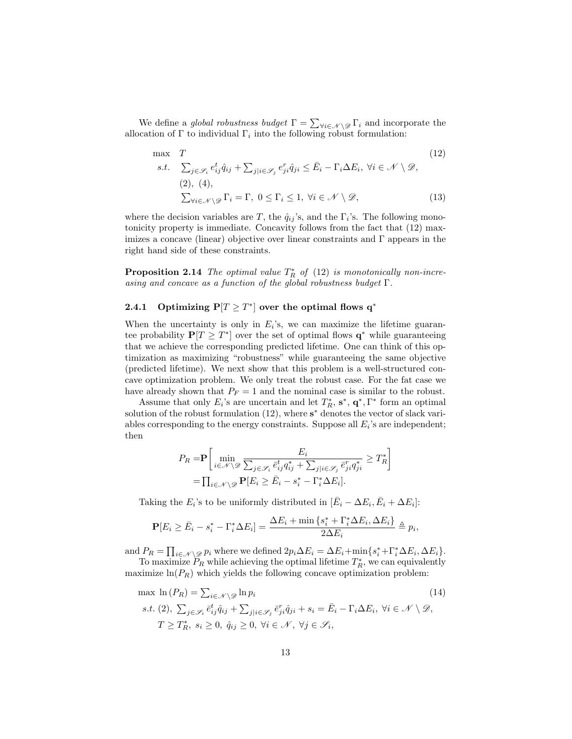We define a *global robustness budget*  $\Gamma = \sum_{\forall i \in \mathcal{N} \setminus \mathcal{D}} \Gamma_i$  and incorporate the allocation of  $\Gamma$  to individual  $\Gamma_i$  into the following robust formulation:

$$
\max T
$$
\n
$$
s.t. \sum_{j \in \mathcal{S}_i} e_{ij}^t \hat{q}_{ij} + \sum_{j|i \in \mathcal{S}_j} e_{ji}^r \hat{q}_{ji} \le \bar{E}_i - \Gamma_i \Delta E_i, \ \forall i \in \mathcal{N} \setminus \mathcal{D},
$$
\n
$$
(12)
$$
\n
$$
\sum_{\forall i \in \mathcal{N} \setminus \mathcal{D}} \Gamma_i = \Gamma, \ 0 \le \Gamma_i \le 1, \ \forall i \in \mathcal{N} \setminus \mathcal{D},
$$
\n
$$
(13)
$$

where the decision variables are T, the  $\hat{q}_{ij}$ 's, and the  $\Gamma_i$ 's. The following monotonicity property is immediate. Concavity follows from the fact that (12) maximizes a concave (linear) objective over linear constraints and  $\Gamma$  appears in the right hand side of these constraints.

**Proposition 2.14** The optimal value  $T_R^*$  of (12) is monotonically non-increasing and concave as a function of the global robustness budget Γ.

## 2.4.1 Optimizing  $P[T \geq T^*]$  over the optimal flows  $q^*$

When the uncertainty is only in  $E_i$ 's, we can maximize the lifetime guarantee probability  $P[T \geq T^*]$  over the set of optimal flows  $q^*$  while guaranteeing that we achieve the corresponding predicted lifetime. One can think of this optimization as maximizing "robustness" while guaranteeing the same objective (predicted lifetime). We next show that this problem is a well-structured concave optimization problem. We only treat the robust case. For the fat case we have already shown that  $P_F = 1$  and the nominal case is similar to the robust.

Assume that only  $E_i$ 's are uncertain and let  $T_R^*$ ,  $\mathbf{s}^*$ ,  $\mathbf{q}^*$ ,  $\Gamma^*$  form an optimal solution of the robust formulation  $(12)$ , where  $s^*$  denotes the vector of slack variables corresponding to the energy constraints. Suppose all  $E_i$ 's are independent; then

$$
P_R = \mathbf{P} \left[ \min_{i \in \mathcal{N} \setminus \mathcal{D}} \frac{E_i}{\sum_{j \in \mathcal{S}_i} \bar{e}_{ij}^t q_{ij}^* + \sum_{j \mid i \in \mathcal{S}_j} \bar{e}_{ji}^r q_{ji}^*} \ge T_R^* \right]
$$

$$
= \prod_{i \in \mathcal{N} \setminus \mathcal{D}} \mathbf{P} [E_i \ge \bar{E}_i - s_i^* - \Gamma_i^* \Delta E_i].
$$

Taking the  $E_i$ 's to be uniformly distributed in  $[\bar{E}_i - \Delta E_i, \bar{E}_i + \Delta E_i]$ :

$$
\mathbf{P}[E_i \ge \bar{E}_i - s_i^* - \Gamma_i^* \Delta E_i] = \frac{\Delta E_i + \min\{s_i^* + \Gamma_i^* \Delta E_i, \Delta E_i\}}{2\Delta E_i} \triangleq p_i,
$$

and  $P_R = \prod_{i \in \mathcal{N} \setminus \mathcal{D}} p_i$  where we defined  $2p_i \Delta E_i = \Delta E_i + \min\{s_i^* + \Gamma_i^* \Delta E_i, \Delta E_i\}.$ 

To maximize  $\tilde{P}_R$  while achieving the optimal lifetime  $T_R^*$ , we can equivalently maximize  $\ln(P_R)$  which yields the following concave optimization problem:

$$
\max \ln(P_R) = \sum_{i \in \mathcal{N} \setminus \mathcal{D}} \ln p_i \tag{14}
$$
\n
$$
s.t. (2), \sum_{j \in \mathcal{S}_i} \bar{e}_{ij}^t \hat{q}_{ij} + \sum_{j \mid i \in \mathcal{S}_j} \bar{e}_{ji}^r \hat{q}_{ji} + s_i = \bar{E}_i - \Gamma_i \Delta E_i, \ \forall i \in \mathcal{N} \setminus \mathcal{D},
$$
\n
$$
T \ge T_R^*, \ s_i \ge 0, \ \hat{q}_{ij} \ge 0, \ \forall i \in \mathcal{N}, \ \forall j \in \mathcal{S}_i,
$$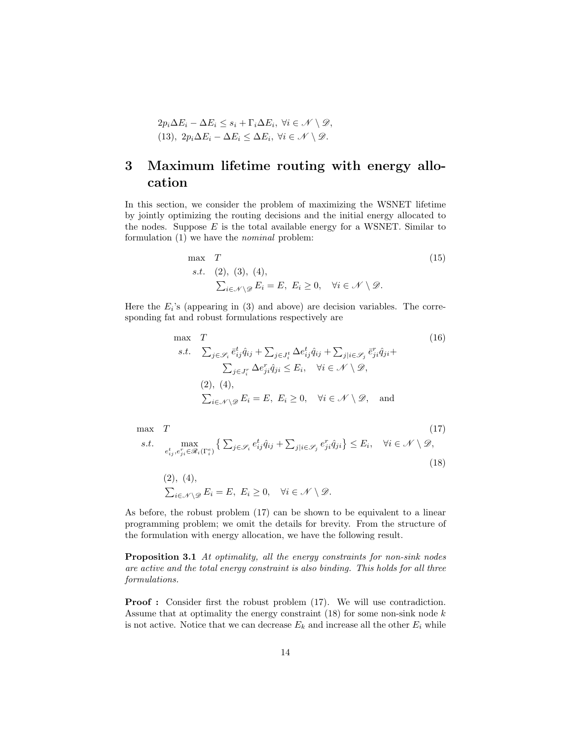$$
2p_i\Delta E_i - \Delta E_i \leq s_i + \Gamma_i \Delta E_i, \ \forall i \in \mathcal{N} \setminus \mathcal{D},
$$
  
(13), 
$$
2p_i\Delta E_i - \Delta E_i \leq \Delta E_i, \ \forall i \in \mathcal{N} \setminus \mathcal{D}.
$$

## 3 Maximum lifetime routing with energy allocation

In this section, we consider the problem of maximizing the WSNET lifetime by jointly optimizing the routing decisions and the initial energy allocated to the nodes. Suppose  $E$  is the total available energy for a WSNET. Similar to formulation (1) we have the nominal problem:

$$
\begin{aligned}\n\max \quad & T \quad (15) \\
\text{s.t.} \quad & (2), \ (3), \ (4), \\
& \sum_{i \in \mathcal{N} \setminus \mathcal{D}} E_i = E, \ E_i \ge 0, \quad \forall i \in \mathcal{N} \setminus \mathcal{D}.\n\end{aligned}
$$

Here the  $E_i$ 's (appearing in (3) and above) are decision variables. The corresponding fat and robust formulations respectively are

max 
$$
T
$$
  
\ns.t.  $\sum_{j \in \mathcal{S}_i} \bar{e}_{ij}^t \hat{q}_{ij} + \sum_{j \in J_i^t} \Delta e_{ij}^t \hat{q}_{ij} + \sum_{j|i \in \mathcal{S}_j} \bar{e}_{ji}^r \hat{q}_{ji} +$   
\n $\sum_{j \in J_i^r} \Delta e_{ji}^r \hat{q}_{ji} \leq E_i, \quad \forall i \in \mathcal{N} \setminus \mathcal{D},$   
\n(2), (4),  $\sum_{i \in \mathcal{N} \setminus \mathcal{D}} E_i = E, E_i \geq 0, \quad \forall i \in \mathcal{N} \setminus \mathcal{D},$  and

max 
$$
T
$$
 (17)  
\ns.t. 
$$
\max_{e_{ij}^t, e_{ji}^r \in \mathcal{R}_i(\Gamma_i^e)} \left\{ \sum_{j \in \mathcal{S}_i} e_{ij}^t \hat{q}_{ij} + \sum_{j \mid i \in \mathcal{S}_j} e_{ji}^r \hat{q}_{ji} \right\} \le E_i, \quad \forall i \in \mathcal{N} \setminus \mathcal{D},
$$
(18)  
\n(2), (4), 
$$
\sum_{i \in \mathcal{N} \setminus \mathcal{D}} E_i = E, E_i \ge 0, \quad \forall i \in \mathcal{N} \setminus \mathcal{D}.
$$

As before, the robust problem (17) can be shown to be equivalent to a linear programming problem; we omit the details for brevity. From the structure of the formulation with energy allocation, we have the following result.

Proposition 3.1 At optimality, all the energy constraints for non-sink nodes are active and the total energy constraint is also binding. This holds for all three formulations.

**Proof :** Consider first the robust problem  $(17)$ . We will use contradiction. Assume that at optimality the energy constraint  $(18)$  for some non-sink node k is not active. Notice that we can decrease  $E_k$  and increase all the other  $E_i$  while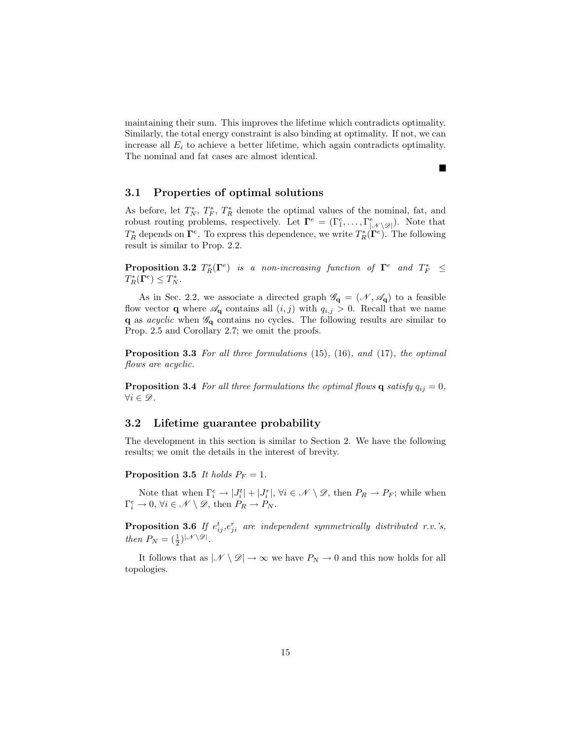maintaining their sum. This improves the lifetime which contradicts optimality. Similarly, the total energy constraint is also binding at optimality. If not, we can increase all  $E_i$  to achieve a better lifetime, which again contradicts optimality. The nominal and fat cases are almost identical.

 $\blacksquare$ 

## 3.1 Properties of optimal solutions

As before, let  $T_N^*$ ,  $T_F^*$ ,  $T_R^*$  denote the optimal values of the nominal, fat, and robust routing problems, respectively. Let  $\mathbf{\Gamma}^e = (\Gamma^e_1, \dots, \Gamma^e_{|\mathcal{N}\setminus \mathscr{D}|})$ . Note that  $T_R^*$  depends on  $\Gamma^e$ . To express this dependence, we write  $T_R^*(\Gamma^e)$ . The following result is similar to Prop. 2.2.

**Proposition 3.2**  $T_R^*(\Gamma^e)$  is a non-increasing function of  $\Gamma^e$  and  $T_F^* \leq$  $T_R^*(\Gamma^e) \leq T_N^*.$ 

As in Sec. 2.2, we associate a directed graph  $\mathscr{G}_{q} = (\mathscr{N}, \mathscr{A}_{q})$  to a feasible flow vector **q** where  $\mathscr{A}_{q}$  contains all  $(i, j)$  with  $q_{i,j} > 0$ . Recall that we name **q** as *acyclic* when  $\mathscr{G}_q$  contains no cycles. The following results are similar to Prop. 2.5 and Corollary 2.7; we omit the proofs.

Proposition 3.3 For all three formulations (15), (16), and (17), the optimal flows are acyclic.

**Proposition 3.4** For all three formulations the optimal flows **q** satisfy  $q_{ij} = 0$ ,  $\forall i \in \mathscr{D}$ .

## 3.2 Lifetime guarantee probability

The development in this section is similar to Section 2. We have the following results; we omit the details in the interest of brevity.

**Proposition 3.5** It holds  $P_F = 1$ .

Note that when  $\Gamma_i^e \to |J_i^t| + |J_i^r|$ ,  $\forall i \in \mathcal{N} \setminus \mathcal{D}$ , then  $P_R \to P_F$ ; while when  $\Gamma_i^e \to 0$ ,  $\forall i \in \mathcal{N} \setminus \mathcal{D}$ , then  $P_R \to P_N$ .

**Proposition 3.6** If  $e_{ij}^t, e_{ji}^r$  are independent symmetrically distributed r.v.'s, then  $P_N = \left(\frac{1}{2}\right)^{|\mathcal{N} \setminus \mathcal{D}|}$ .

It follows that as  $|\mathcal{N} \setminus \mathcal{D}| \to \infty$  we have  $P_N \to 0$  and this now holds for all topologies.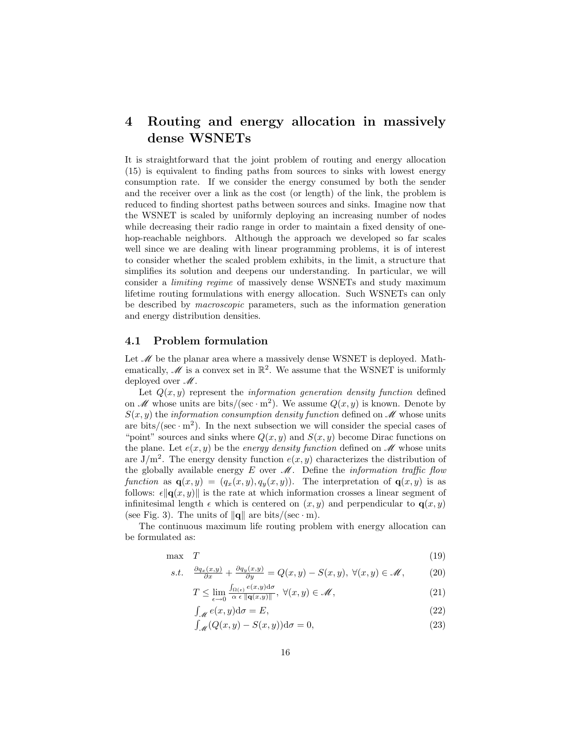## 4 Routing and energy allocation in massively dense WSNETs

It is straightforward that the joint problem of routing and energy allocation (15) is equivalent to finding paths from sources to sinks with lowest energy consumption rate. If we consider the energy consumed by both the sender and the receiver over a link as the cost (or length) of the link, the problem is reduced to finding shortest paths between sources and sinks. Imagine now that the WSNET is scaled by uniformly deploying an increasing number of nodes while decreasing their radio range in order to maintain a fixed density of onehop-reachable neighbors. Although the approach we developed so far scales well since we are dealing with linear programming problems, it is of interest to consider whether the scaled problem exhibits, in the limit, a structure that simplifies its solution and deepens our understanding. In particular, we will consider a limiting regime of massively dense WSNETs and study maximum lifetime routing formulations with energy allocation. Such WSNETs can only be described by macroscopic parameters, such as the information generation and energy distribution densities.

## 4.1 Problem formulation

Let  $M$  be the planar area where a massively dense WSNET is deployed. Mathematically,  $\mathscr{M}$  is a convex set in  $\mathbb{R}^2$ . We assume that the WSNET is uniformly deployed over  $\mathcal{M}$ .

Let  $Q(x, y)$  represent the *information generation density function* defined on  $\mathscr M$  whose units are bits/(sec · m<sup>2</sup>). We assume  $Q(x, y)$  is known. Denote by  $S(x, y)$  the information consumption density function defined on  $\mathscr M$  whose units are bits/(sec  $\cdot$  m<sup>2</sup>). In the next subsection we will consider the special cases of "point" sources and sinks where  $Q(x, y)$  and  $S(x, y)$  become Dirac functions on the plane. Let  $e(x, y)$  be the *energy density function* defined on  $\mathcal{M}$  whose units are  $J/m^2$ . The energy density function  $e(x, y)$  characterizes the distribution of the globally available energy  $E$  over  $\mathcal M$ . Define the *information traffic flow* function as  $\mathbf{q}(x, y) = (q_x(x, y), q_y(x, y))$ . The interpretation of  $\mathbf{q}(x, y)$  is as follows:  $\epsilon \|\mathbf{q}(x, y)\|$  is the rate at which information crosses a linear segment of infinitesimal length  $\epsilon$  which is centered on  $(x, y)$  and perpendicular to  $q(x, y)$ (see Fig. 3). The units of  $\|\mathbf{q}\|$  are bits/(sec · m).

The continuous maximum life routing problem with energy allocation can be formulated as:

$$
\max \quad T \tag{19}
$$

$$
s.t. \quad \frac{\partial q_x(x,y)}{\partial x} + \frac{\partial q_y(x,y)}{\partial y} = Q(x,y) - S(x,y), \ \forall (x,y) \in \mathscr{M}, \tag{20}
$$

$$
T \leq \lim_{\epsilon \to 0} \frac{\int_{\Omega(\epsilon)} e(x, y) \, \mathrm{d}\sigma}{\alpha \epsilon \, \|\mathbf{q}(x, y)\|}, \ \forall (x, y) \in \mathcal{M}, \tag{21}
$$

$$
\int_{\mathcal{M}} e(x, y) \mathrm{d}\sigma = E,\tag{22}
$$

$$
\int_{\mathscr{M}} (Q(x, y) - S(x, y)) \mathrm{d}\sigma = 0,\tag{23}
$$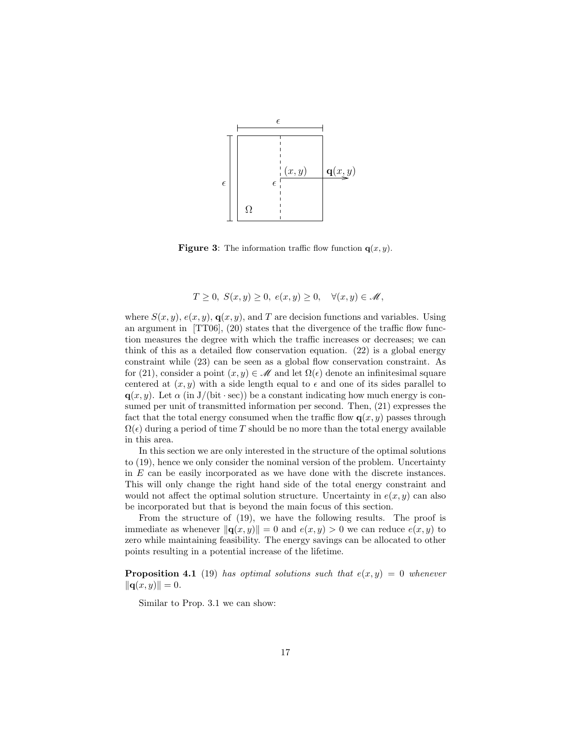

**Figure 3:** The information traffic flow function  $q(x, y)$ .

$$
T \geq 0, S(x, y) \geq 0, e(x, y) \geq 0, \quad \forall (x, y) \in \mathscr{M},
$$

where  $S(x, y)$ ,  $e(x, y)$ ,  $q(x, y)$ , and T are decision functions and variables. Using an argument in [TT06], (20) states that the divergence of the traffic flow function measures the degree with which the traffic increases or decreases; we can think of this as a detailed flow conservation equation. (22) is a global energy constraint while (23) can be seen as a global flow conservation constraint. As for (21), consider a point  $(x, y) \in \mathcal{M}$  and let  $\Omega(\epsilon)$  denote an infinitesimal square centered at  $(x, y)$  with a side length equal to  $\epsilon$  and one of its sides parallel to  $q(x, y)$ . Let  $\alpha$  (in J/(bit · sec)) be a constant indicating how much energy is consumed per unit of transmitted information per second. Then, (21) expresses the fact that the total energy consumed when the traffic flow  $q(x, y)$  passes through  $\Omega(\epsilon)$  during a period of time T should be no more than the total energy available in this area.

In this section we are only interested in the structure of the optimal solutions to (19), hence we only consider the nominal version of the problem. Uncertainty in E can be easily incorporated as we have done with the discrete instances. This will only change the right hand side of the total energy constraint and would not affect the optimal solution structure. Uncertainty in  $e(x, y)$  can also be incorporated but that is beyond the main focus of this section.

From the structure of (19), we have the following results. The proof is immediate as whenever  $\|\mathbf{q}(x, y)\| = 0$  and  $e(x, y) > 0$  we can reduce  $e(x, y)$  to zero while maintaining feasibility. The energy savings can be allocated to other points resulting in a potential increase of the lifetime.

**Proposition 4.1** (19) has optimal solutions such that  $e(x, y) = 0$  whenever  $\|\mathbf{q}(x, y)\| = 0.$ 

Similar to Prop. 3.1 we can show: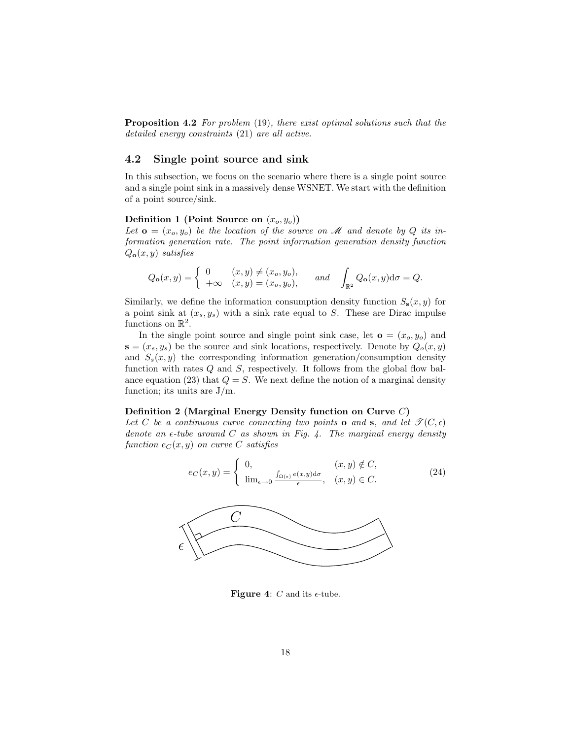**Proposition 4.2** For problem (19), there exist optimal solutions such that the detailed energy constraints (21) are all active.

## 4.2 Single point source and sink

In this subsection, we focus on the scenario where there is a single point source and a single point sink in a massively dense WSNET. We start with the definition of a point source/sink.

### Definition 1 (Point Source on  $(x_o, y_o)$ )

 $\epsilon$ 

Let  $\mathbf{o} = (x_o, y_o)$  be the location of the source on M and denote by Q its information generation rate. The point information generation density function  $Q_{\mathbf{o}}(x, y)$  satisfies

$$
Q_{\mathbf{o}}(x,y) = \begin{cases} 0 & (x,y) \neq (x_o, y_o), \\ +\infty & (x,y) = (x_o, y_o), \end{cases} \text{ and } \int_{\mathbb{R}^2} Q_{\mathbf{o}}(x,y) d\sigma = Q.
$$

Similarly, we define the information consumption density function  $S_8(x, y)$  for a point sink at  $(x_s, y_s)$  with a sink rate equal to S. These are Dirac impulse functions on  $\mathbb{R}^2$ .

In the single point source and single point sink case, let  $\mathbf{o} = (x_o, y_o)$  and  $\mathbf{s} = (x_s, y_s)$  be the source and sink locations, respectively. Denote by  $Q_o(x, y)$ and  $S_s(x, y)$  the corresponding information generation/consumption density function with rates  $Q$  and  $S$ , respectively. It follows from the global flow balance equation (23) that  $Q = S$ . We next define the notion of a marginal density function; its units are  $J/m$ .

#### Definition 2 (Marginal Energy Density function on Curve C)

Let C be a continuous curve connecting two points **o** and **s**, and let  $\mathcal{T}(C, \epsilon)$ denote an  $\epsilon$ -tube around C as shown in Fig. 4. The marginal energy density function  $e_C(x, y)$  on curve C satisfies



Figure 4:  $C$  and its  $\epsilon$ -tube.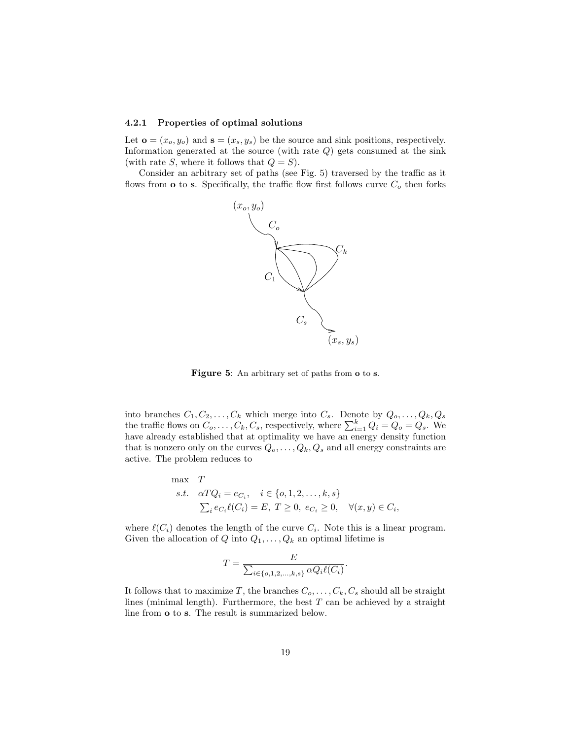#### 4.2.1 Properties of optimal solutions

Let  $\mathbf{o} = (x_o, y_o)$  and  $\mathbf{s} = (x_s, y_s)$  be the source and sink positions, respectively. Information generated at the source (with rate  $Q$ ) gets consumed at the sink (with rate S, where it follows that  $Q = S$ ).

Consider an arbitrary set of paths (see Fig. 5) traversed by the traffic as it flows from  $\bf{o}$  to  $\bf{s}$ . Specifically, the traffic flow first follows curve  $C_o$  then forks



Figure 5: An arbitrary set of paths from  $o$  to s.

into branches  $C_1, C_2, \ldots, C_k$  which merge into  $C_s$ . Denote by  $Q_o, \ldots, Q_k, Q_s$ the traffic flows on  $C_0, \ldots, C_k, C_s$ , respectively, where  $\sum_{i=1}^k Q_i = Q_o = Q_s$ . We have already established that at optimality we have an energy density function that is nonzero only on the curves  $Q_0, \ldots, Q_k, Q_s$  and all energy constraints are active. The problem reduces to

max 
$$
T
$$
  
s.t.  $\alpha TQ_i = e_{C_i}, \quad i \in \{0, 1, 2, ..., k, s\}$   
 $\sum_i e_{C_i} \ell(C_i) = E, T \ge 0, e_{C_i} \ge 0, \quad \forall (x, y) \in C_i,$ 

where  $\ell(C_i)$  denotes the length of the curve  $C_i$ . Note this is a linear program. Given the allocation of Q into  $Q_1, \ldots, Q_k$  an optimal lifetime is

$$
T = \frac{E}{\sum_{i \in \{o, 1, 2, \dots, k, s\}} \alpha Q_i \ell(C_i)}
$$

.

It follows that to maximize T, the branches  $C_0, \ldots, C_k, C_s$  should all be straight lines (minimal length). Furthermore, the best  $T$  can be achieved by a straight line from o to s. The result is summarized below.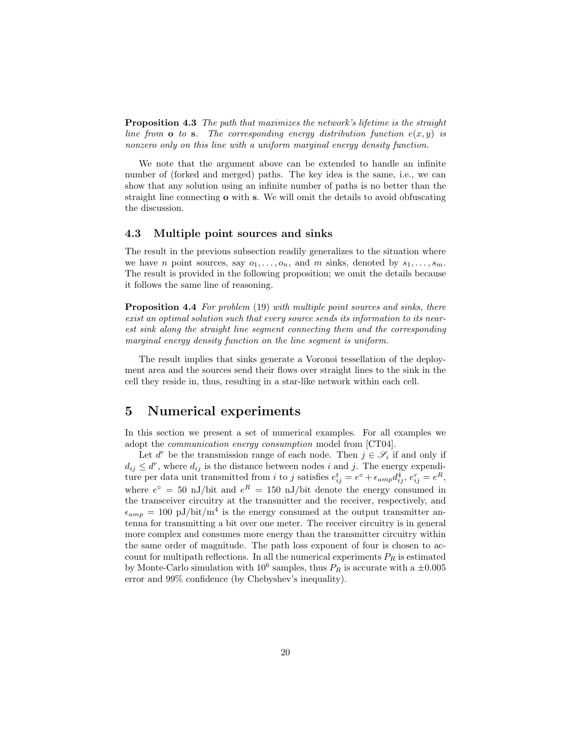Proposition 4.3 The path that maximizes the network's lifetime is the straight line from  $\bf{o}$  to  $\bf{s}$ . The corresponding energy distribution function  $e(x, y)$  is nonzero only on this line with a uniform marginal energy density function.

We note that the argument above can be extended to handle an infinite number of (forked and merged) paths. The key idea is the same, i.e., we can show that any solution using an infinite number of paths is no better than the straight line connecting o with s. We will omit the details to avoid obfuscating the discussion.

## 4.3 Multiple point sources and sinks

The result in the previous subsection readily generalizes to the situation where we have n point sources, say  $o_1, \ldots, o_n$ , and m sinks, denoted by  $s_1, \ldots, s_m$ . The result is provided in the following proposition; we omit the details because it follows the same line of reasoning.

Proposition 4.4 For problem (19) with multiple point sources and sinks, there exist an optimal solution such that every source sends its information to its nearest sink along the straight line segment connecting them and the corresponding marginal energy density function on the line segment is uniform.

The result implies that sinks generate a Voronoi tessellation of the deployment area and the sources send their flows over straight lines to the sink in the cell they reside in, thus, resulting in a star-like network within each cell.

## 5 Numerical experiments

In this section we present a set of numerical examples. For all examples we adopt the communication energy consumption model from [CT04].

Let  $d^r$  be the transmission range of each node. Then  $j \in \mathscr{S}_i$  if and only if  $d_{ij} \leq d^r$ , where  $d_{ij}$  is the distance between nodes i and j. The energy expenditure per data unit transmitted from i to j satisfies  $e_{ij}^t = e^{\circ} + \epsilon_{amp} d_{ij}^4$ ,  $e_{ij}^r = e^R$ , where  $e^{\circ} = 50$  nJ/bit and  $e^{R} = 150$  nJ/bit denote the energy consumed in the transceiver circuitry at the transmitter and the receiver, respectively, and  $\epsilon_{amp} = 100 \text{ pJ}/\text{bit/m}^4$  is the energy consumed at the output transmitter antenna for transmitting a bit over one meter. The receiver circuitry is in general more complex and consumes more energy than the transmitter circuitry within the same order of magnitude. The path loss exponent of four is chosen to account for multipath reflections. In all the numerical experiments  $P_R$  is estimated by Monte-Carlo simulation with  $10^6$  samples, thus  $P_R$  is accurate with a  $\pm 0.005$ error and 99% confidence (by Chebyshev's inequality).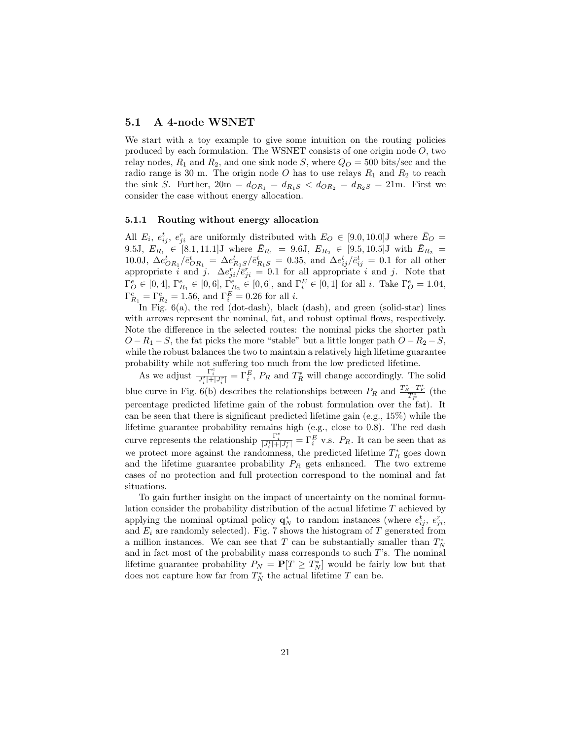## 5.1 A 4-node WSNET

We start with a toy example to give some intuition on the routing policies produced by each formulation. The WSNET consists of one origin node  $O$ , two relay nodes,  $R_1$  and  $R_2$ , and one sink node S, where  $Q_O = 500$  bits/sec and the radio range is 30 m. The origin node O has to use relays  $R_1$  and  $R_2$  to reach the sink S. Further,  $20m = d_{OR_1} = d_{R_1S} < d_{OR_2} = d_{R_2S} = 21m$ . First we consider the case without energy allocation.

### 5.1.1 Routing without energy allocation

All  $E_i$ ,  $e_{ij}^t$ ,  $e_{ji}^r$  are uniformly distributed with  $E_O \in [9.0, 10.0]$ J where  $\bar{E}_O =$ 9.5J,  $E_{R_1} \in [8.1, 11.1]$ J where  $E_{R_1} = 9.6$ J,  $E_{R_2} \in [9.5, 10.5]$ J with  $E_{R_2} =$ 10.0J,  $\Delta e_{OR_1}^t / \bar{e}_{OR_1}^t = \Delta e_{R_1S}^t / \bar{e}_{R_1S}^t = 0.35$ , and  $\Delta e_{ij}^t / \bar{e}_{ij}^t = 0.1$  for all other appropriate i and j.  $\Delta e_{ji}^r/\bar{e}_{ji}^r = 0.1$  for all appropriate i and j. Note that  $\Gamma_{\overline{O}}^e \in [0, 4], \, \Gamma_{R_1}^e \in [0, 6], \, \Gamma_{R_2}^e \in [0, 6],$  and  $\Gamma_i^E \in [0, 1]$  for all *i*. Take  $\Gamma_{\overline{O}}^e = 1.04$ ,  $\Gamma_{R_1}^e = \Gamma_{R_2}^e = 1.56$ , and  $\Gamma_i^E = 0.26$  for all *i*.

In Fig. 6(a), the red (dot-dash), black (dash), and green (solid-star) lines with arrows represent the nominal, fat, and robust optimal flows, respectively. Note the difference in the selected routes: the nominal picks the shorter path  $O - R_1 - S$ , the fat picks the more "stable" but a little longer path  $O - R_2 - S$ , while the robust balances the two to maintain a relatively high lifetime guarantee probability while not suffering too much from the low predicted lifetime.

As we adjust  $\frac{\Gamma_i^e}{|J_i^t|+|J_i^r|} = \Gamma_i^E$ ,  $P_R$  and  $T_R^*$  will change accordingly. The solid blue curve in Fig. 6(b) describes the relationships between  $P_R$  and  $\frac{T_R^* - T_F^*}{T_F^*}$  (the percentage predicted lifetime gain of the robust formulation over the fat). It can be seen that there is significant predicted lifetime gain (e.g., 15%) while the lifetime guarantee probability remains high (e.g., close to 0.8). The red dash curve represents the relationship  $\frac{\Gamma_i^e}{|J_i^t|+|J_i^r|} = \Gamma_i^E$  v.s.  $P_R$ . It can be seen that as we protect more against the randomness, the predicted lifetime  $T_R^*$  goes down and the lifetime guarantee probability  $P_R$  gets enhanced. The two extreme cases of no protection and full protection correspond to the nominal and fat situations.

To gain further insight on the impact of uncertainty on the nominal formulation consider the probability distribution of the actual lifetime T achieved by applying the nominal optimal policy  $\mathbf{q}_N^*$  to random instances (where  $e_{ij}^t$ ,  $e_{ji}^r$ , and  $E_i$  are randomly selected). Fig. 7 shows the histogram of T generated from a million instances. We can see that  $T$  can be substantially smaller than  $T_N^*$ and in fact most of the probability mass corresponds to such  $T$ 's. The nominal lifetime guarantee probability  $P_N = \mathbf{P}[T \geq T_N^*]$  would be fairly low but that does not capture how far from  $T_N^*$  the actual lifetime  $T$  can be.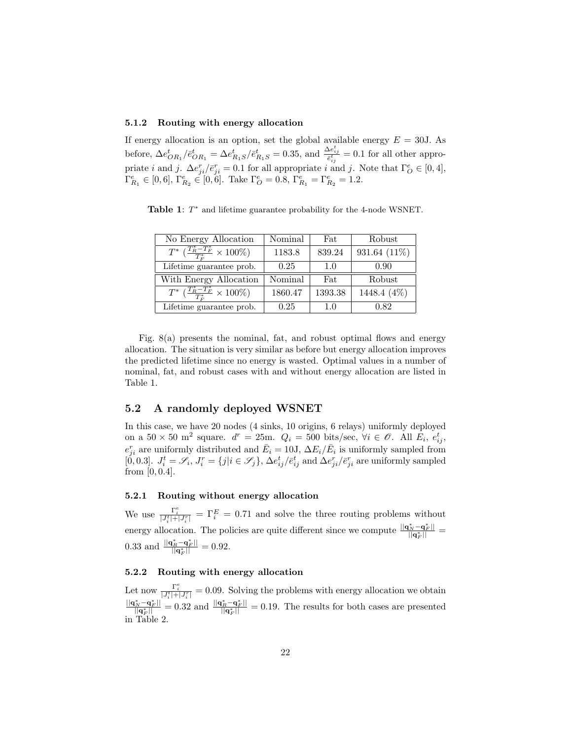## 5.1.2 Routing with energy allocation

If energy allocation is an option, set the global available energy  $E = 30$ J. As before,  $\Delta e_{OR_1}^t / \bar{e}_{OR_1}^t = \Delta e_{R_1S}^t / \bar{e}_{R_1S}^t = 0.35$ , and  $\frac{\Delta e_{ij}^t}{\bar{e}_{ij}^t} = 0.1$  for all other appropriate *i* and *j*.  $\Delta e_{ji}^{rel}/\bar{e}_{ji}^{r} = 0.1$  for all appropriate *i* and *j*. Note that  $\Gamma_{\mathcal{O}}^{e} \in [0, 4]$ ,  $\Gamma_{R_1}^e \in [0,6], \Gamma_{R_2}^e \in [0,6].$  Take  $\Gamma_O^e = 0.8, \Gamma_{R_1}^e = \Gamma_{R_2}^e = 1.2.$ 

Table 1:  $T^*$  and lifetime guarantee probability for the 4-node WSNET.

| No Energy Allocation                                  | Nominal | Fat     | Robust       |
|-------------------------------------------------------|---------|---------|--------------|
| $T^*\left(\frac{T_R^*-T_F^*}{T^*}\times 100\%\right)$ | 1183.8  | 839.24  | 931.64 (11%) |
| Lifetime guarantee prob.                              | 0.25    | 1.0     | 0.90         |
| With Energy Allocation                                | Nominal | Fat     | Robust       |
| $T^*\left(\frac{T_R^*-T_F^*}{T^*}\times 100\%\right)$ | 1860.47 | 1393.38 | 1448.4 (4%)  |
|                                                       |         |         |              |

Fig. 8(a) presents the nominal, fat, and robust optimal flows and energy allocation. The situation is very similar as before but energy allocation improves the predicted lifetime since no energy is wasted. Optimal values in a number of nominal, fat, and robust cases with and without energy allocation are listed in Table 1.

## 5.2 A randomly deployed WSNET

In this case, we have 20 nodes (4 sinks, 10 origins, 6 relays) uniformly deployed on a  $50 \times 50$  m<sup>2</sup> square.  $d^r = 25$ m.  $Q_i = 500$  bits/sec,  $\forall i \in \mathcal{O}$ . All  $E_i$ ,  $e_{ij}^t$ ,  $e_{ji}^r$  are uniformly distributed and  $\bar{E}_i = 10J$ ,  $\Delta E_i/\bar{E}_i$  is uniformly sampled from [0, 0.3].  $J_i^t = \mathcal{S}_i$ ,  $J_i^r = \{j | i \in \mathcal{S}_j\}$ ,  $\Delta e_{ij}^t / \bar{e}_{ij}^t$  and  $\Delta e_{ji}^r / \bar{e}_{ji}^r$  are uniformly sampled from  $[0, 0.4]$ .

## 5.2.1 Routing without energy allocation

We use  $\frac{\Gamma_i^e}{|J_i^t|+|J_i^r|} = \Gamma_i^E = 0.71$  and solve the three routing problems without energy allocation. The policies are quite different since we compute  $\frac{||{\bf q}_N^* - {\bf q}_F^*||}{||{\bf q}_F^*||} =$ 0.33 and  $\frac{||\mathbf{q}_R^* - \mathbf{q}_F^*||}{||\mathbf{q}_F^*||} = 0.92.$ 

## 5.2.2 Routing with energy allocation

Let now  $\frac{\Gamma_i^e}{|J_i^t|+|J_i^r|} = 0.09$ . Solving the problems with energy allocation we obtain  $\frac{||\mathbf{q}_N^* - \mathbf{q}_F^*||}{||\mathbf{q}_F^*||} = 0.32$  and  $\frac{||\mathbf{q}_R^* - \mathbf{q}_F^*||}{||\mathbf{q}_F^*||} = 0.19$ . The results for both cases are presented in Table 2.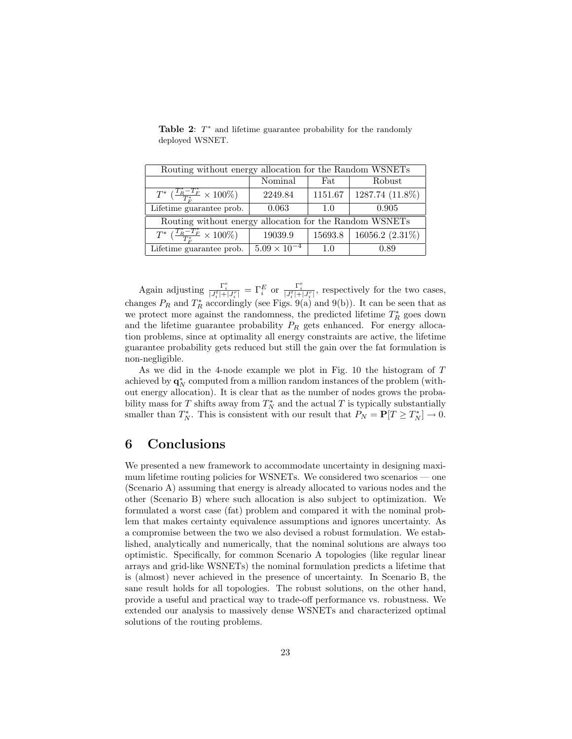| Routing without energy allocation for the Random WSNETs      |                       |         |                    |  |  |
|--------------------------------------------------------------|-----------------------|---------|--------------------|--|--|
|                                                              | Nominal               | Fat     | Robust             |  |  |
| $T^*$ $\left(\frac{T_R^* - T_F^*}{T^*} \times 100\% \right)$ | 2249.84               | 1151.67 | 1287.74 (11.8%)    |  |  |
| Lifetime guarantee prob.                                     | 0.063                 | 1.0     | 0.905              |  |  |
| Routing without energy allocation for the Random WSNETs      |                       |         |                    |  |  |
| $T^* \left( \frac{T_R^* - T_F^*}{T^*} \times 100\% \right)$  | 19039.9               | 15693.8 | 16056.2 $(2.31\%)$ |  |  |
| Lifetime guarantee prob.                                     | $5.09 \times 10^{-4}$ | 1.0     | 0.89               |  |  |

Table 2:  $T^*$  and lifetime guarantee probability for the randomly deployed WSNET.

Again adjusting  $\frac{\Gamma_i^e}{|J_i^t|+|J_i^r|} = \Gamma_i^E$  or  $\frac{\Gamma_i^e}{|J_i^t|+|J_i^r|}$ , respectively for the two cases, changes  $P_R$  and  $T_R^*$  accordingly (see Figs. 9(a) and 9(b)). It can be seen that as we protect more against the randomness, the predicted lifetime  $T^{\ast}_R$  goes down and the lifetime guarantee probability  $P_R$  gets enhanced. For energy allocation problems, since at optimality all energy constraints are active, the lifetime guarantee probability gets reduced but still the gain over the fat formulation is non-negligible.

As we did in the 4-node example we plot in Fig. 10 the histogram of T achieved by  $\mathbf{q}_N^*$  computed from a million random instances of the problem (without energy allocation). It is clear that as the number of nodes grows the probability mass for  $T$  shifts away from  $T_N^*$  and the actual  $T$  is typically substantially smaller than  $T_N^*$ . This is consistent with our result that  $P_N = \mathbf{P}[T \ge T_N^*] \to 0$ .

## 6 Conclusions

We presented a new framework to accommodate uncertainty in designing maximum lifetime routing policies for WSNETs. We considered two scenarios — one (Scenario A) assuming that energy is already allocated to various nodes and the other (Scenario B) where such allocation is also subject to optimization. We formulated a worst case (fat) problem and compared it with the nominal problem that makes certainty equivalence assumptions and ignores uncertainty. As a compromise between the two we also devised a robust formulation. We established, analytically and numerically, that the nominal solutions are always too optimistic. Specifically, for common Scenario A topologies (like regular linear arrays and grid-like WSNETs) the nominal formulation predicts a lifetime that is (almost) never achieved in the presence of uncertainty. In Scenario B, the sane result holds for all topologies. The robust solutions, on the other hand, provide a useful and practical way to trade-off performance vs. robustness. We extended our analysis to massively dense WSNETs and characterized optimal solutions of the routing problems.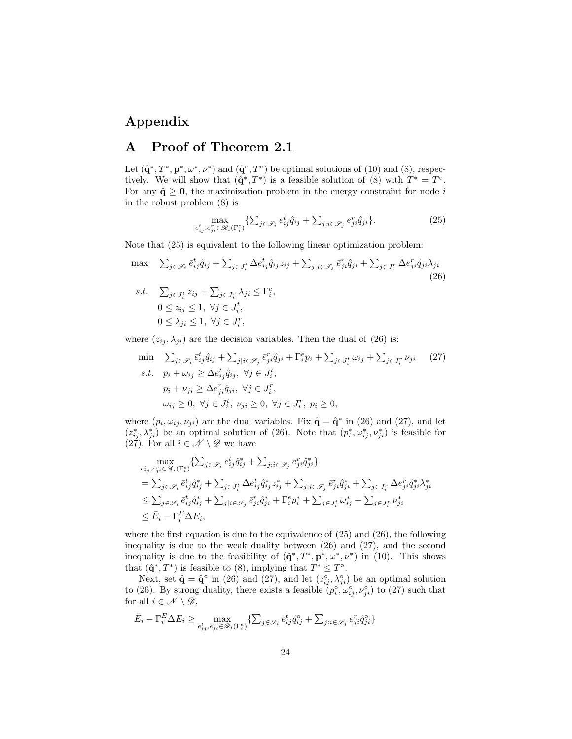## Appendix

## A Proof of Theorem 2.1

Let  $(\hat{\mathbf{q}}^*, T^*, \mathbf{p}^*, \omega^*, \nu^*)$  and  $(\hat{\mathbf{q}}^{\circ}, T^{\circ})$  be optimal solutions of (10) and (8), respectively. We will show that  $(\hat{\mathbf{q}}^*, T^*)$  is a feasible solution of (8) with  $T^* = T^{\circ}$ . For any  $\hat{\mathbf{q}} \geq \mathbf{0}$ , the maximization problem in the energy constraint for node i in the robust problem (8) is

$$
\max_{e_{ij}^t, e_{ji}^r \in \mathcal{R}_i(\Gamma_i^e)} \{ \sum_{j \in \mathcal{S}_i} e_{ij}^t \hat{q}_{ij} + \sum_{j:i \in \mathcal{S}_j} e_{ji}^r \hat{q}_{ji} \}.
$$
\n(25)

Note that (25) is equivalent to the following linear optimization problem:

$$
\max \sum_{j \in \mathcal{S}_i} \bar{e}_{ij}^t \hat{q}_{ij} + \sum_{j \in J_i^t} \Delta e_{ij}^t \hat{q}_{ij} z_{ij} + \sum_{j \mid i \in \mathcal{S}_j} \bar{e}_{ji}^r \hat{q}_{ji} + \sum_{j \in J_i^r} \Delta e_{ji}^r \hat{q}_{ji} \lambda_{ji}
$$
\n
$$
s.t. \sum_{j \in J_i^t} z_{ij} + \sum_{j \in J_i^r} \lambda_{ji} \le \Gamma_i^e,
$$
\n
$$
0 \le z_{ij} \le 1, \ \forall j \in J_i^t,
$$
\n
$$
0 \le \lambda_{ji} \le 1, \ \forall j \in J_i^r,
$$
\n
$$
(26)
$$

where  $(z_{ij}, \lambda_{ji})$  are the decision variables. Then the dual of (26) is:

$$
\begin{aligned}\n\min \quad & \sum_{j \in \mathcal{S}_i} \bar{e}_{ij}^t \hat{q}_{ij} + \sum_{j \mid i \in \mathcal{S}_j} \bar{e}_{ji}^r \hat{q}_{ji} + \Gamma_i^e p_i + \sum_{j \in J_i^t} \omega_{ij} + \sum_{j \in J_i^r} \nu_{ji} \qquad (27) \\
\text{s.t.} \quad & p_i + \omega_{ij} \ge \Delta e_{ij}^t \hat{q}_{ij}, \ \forall j \in J_i^t, \\
& p_i + \nu_{ji} \ge \Delta e_{ji}^r \hat{q}_{ji}, \ \forall j \in J_i^r, \\
& \omega_{ij} \ge 0, \ \forall j \in J_i^t, \ \nu_{ji} \ge 0, \ \forall j \in J_i^r, \ p_i \ge 0,\n\end{aligned}
$$

where  $(p_i, \omega_{ij}, \nu_{ji})$  are the dual variables. Fix  $\hat{\mathbf{q}} = \hat{\mathbf{q}}^*$  in (26) and (27), and let  $(z_{ij}^*, \lambda_{ji}^*)$  be an optimal solution of (26). Note that  $(p_i^*, \omega_{ij}^*, \nu_{ji}^*)$  is feasible for (27). For all  $i \in \mathcal{N} \setminus \mathcal{D}$  we have

$$
\max_{e_{ij}^t, e_{ji}^r \in \mathcal{R}_i(\Gamma_i^e)} \{\sum_{j \in \mathcal{S}_i} e_{ij}^t \hat{q}_{ij}^* + \sum_{j:i \in \mathcal{S}_j} e_{ji}^r \hat{q}_{ji}^* \}
$$
\n
$$
= \sum_{j \in \mathcal{S}_i} \bar{e}_{ij}^t \hat{q}_{ij}^* + \sum_{j \in J_i^t} \Delta e_{ij}^t \hat{q}_{ij}^* z_{ij}^* + \sum_{j|i \in \mathcal{S}_j} \bar{e}_{ji}^r \hat{q}_{ji}^* + \sum_{j \in J_i^r} \Delta e_{ji}^r \hat{q}_{ji}^* \lambda_{ji}^* \}
$$
\n
$$
\leq \sum_{j \in \mathcal{S}_i} \bar{e}_{ij}^t \hat{q}_{ij}^* + \sum_{j|i \in \mathcal{S}_j} \bar{e}_{ji}^r \hat{q}_{ji}^* + \Gamma_i^e p_i^* + \sum_{j \in J_i^t} \omega_{ij}^* + \sum_{j \in J_i^r} \nu_{ji}^* \}
$$
\n
$$
\leq \bar{E}_i - \Gamma_i^E \Delta E_i,
$$

where the first equation is due to the equivalence of (25) and (26), the following inequality is due to the weak duality between (26) and (27), and the second inequality is due to the feasibility of  $(\hat{\mathbf{q}}^*, T^*, \mathbf{p}^*, \omega^*, \nu^*)$  in (10). This shows that  $(\hat{\mathbf{q}}^*, T^*)$  is feasible to (8), implying that  $T^* \leq T^{\circ}$ .

Next, set  $\hat{\mathbf{q}} = \hat{\mathbf{q}}^{\circ}$  in (26) and (27), and let  $(z_{ij}^{\circ}, \lambda_{ji}^{\circ})$  be an optimal solution to (26). By strong duality, there exists a feasible  $(p_i^{\circ}, \omega_{ij}^{\circ}, \nu_{ji}^{\circ})$  to (27) such that for all  $i \in \mathcal{N} \setminus \mathcal{D}$ ,

$$
\bar{E}_i - \Gamma_i^E \Delta E_i \geq \max_{e_{ij}^t, e_{ji}^r \in \mathscr{R}_i(\Gamma_i^e)} \{\textstyle\sum_{j \in \mathscr{S}_i} e_{ij}^t \hat{q}_{ij}^\circ + \textstyle\sum_{j : i \in \mathscr{S}_j} e_{ji}^r \hat{q}_{ji}^\circ\}
$$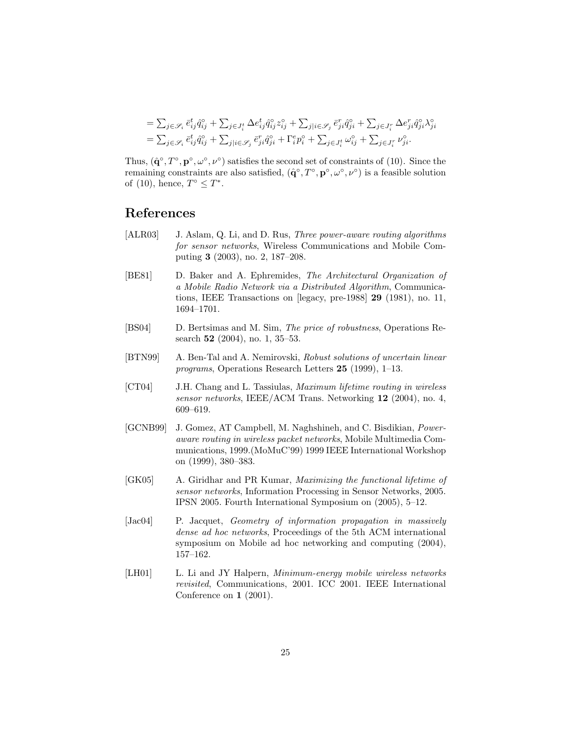$$
\begin{split} &=\sum_{j\in\mathscr{S}_i}\bar{e}_{ij}^t\hat{q}_{ij}^\circ+\sum_{j\in J_i^t}\Delta e_{ij}^t\hat{q}_{ij}^\circ z_{ij}^\circ+\sum_{j|i\in\mathscr{S}_j}\bar{e}_{ji}^r\hat{q}_{ji}^\circ+\sum_{j\in J_i^r}\Delta e_{ji}^r\hat{q}_{ji}^\circ\lambda_{ji}^\circ\\ &=\sum_{j\in\mathscr{S}_i}\bar{e}_{ij}^t\hat{q}_{ij}^\circ+\sum_{j|i\in\mathscr{S}_j}\bar{e}_{ji}^r\hat{q}_{ji}^\circ+\Gamma_i^ep_i^\circ+\sum_{j\in J_i^t}\omega_{ij}^\circ+\sum_{j\in J_i^r}\nu_{ji}^\circ. \end{split}
$$

Thus,  $(\hat{\mathbf{q}}^{\circ}, T^{\circ}, \mathbf{p}^{\circ}, \omega^{\circ}, \nu^{\circ})$  satisfies the second set of constraints of (10). Since the remaining constraints are also satisfied,  $(\hat{\mathbf{q}}^{\circ}, T^{\circ}, \mathbf{p}^{\circ}, \omega^{\circ}, \nu^{\circ})$  is a feasible solution of (10), hence,  $T^{\circ} \leq T^*$ .

## References

- [ALR03] J. Aslam, Q. Li, and D. Rus, *Three power-aware routing algorithms* for sensor networks, Wireless Communications and Mobile Computing 3 (2003), no. 2, 187–208.
- [BE81] D. Baker and A. Ephremides, The Architectural Organization of a Mobile Radio Network via a Distributed Algorithm, Communications, IEEE Transactions on [legacy, pre-1988] 29 (1981), no. 11, 1694–1701.
- [BS04] D. Bertsimas and M. Sim, The price of robustness, Operations Research **52** (2004), no. 1, 35–53.
- [BTN99] A. Ben-Tal and A. Nemirovski, Robust solutions of uncertain linear programs, Operations Research Letters 25 (1999), 1–13.
- [CT04] J.H. Chang and L. Tassiulas, Maximum lifetime routing in wireless sensor networks, IEEE/ACM Trans. Networking 12 (2004), no. 4, 609–619.
- [GCNB99] J. Gomez, AT Campbell, M. Naghshineh, and C. Bisdikian, Poweraware routing in wireless packet networks, Mobile Multimedia Communications, 1999.(MoMuC'99) 1999 IEEE International Workshop on (1999), 380–383.
- [GK05] A. Giridhar and PR Kumar, Maximizing the functional lifetime of sensor networks, Information Processing in Sensor Networks, 2005. IPSN 2005. Fourth International Symposium on (2005), 5–12.
- [Jac04] P. Jacquet, Geometry of information propagation in massively dense ad hoc networks, Proceedings of the 5th ACM international symposium on Mobile ad hoc networking and computing (2004), 157–162.
- [LH01] L. Li and JY Halpern, *Minimum-energy mobile wireless networks* revisited, Communications, 2001. ICC 2001. IEEE International Conference on 1 (2001).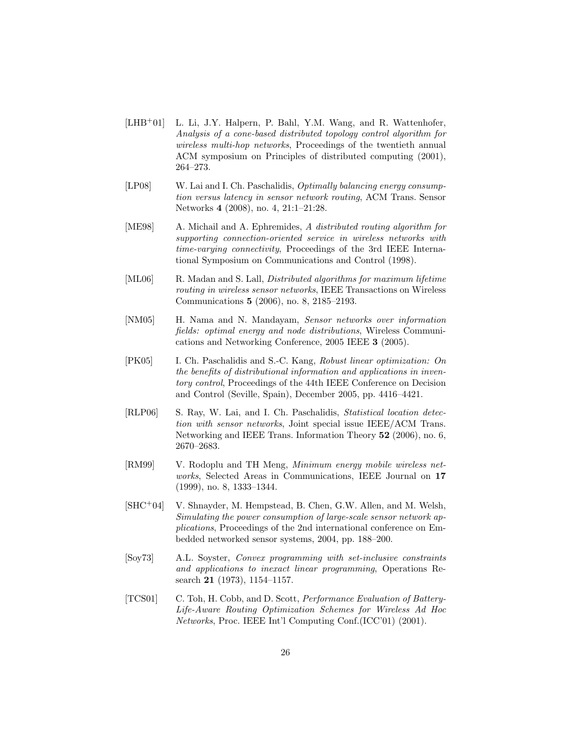- [LHB<sup>+</sup>01] L. Li, J.Y. Halpern, P. Bahl, Y.M. Wang, and R. Wattenhofer, Analysis of a cone-based distributed topology control algorithm for wireless multi-hop networks, Proceedings of the twentieth annual ACM symposium on Principles of distributed computing (2001), 264–273.
- [LP08] W. Lai and I. Ch. Paschalidis, Optimally balancing energy consumption versus latency in sensor network routing, ACM Trans. Sensor Networks 4 (2008), no. 4, 21:1–21:28.
- [ME98] A. Michail and A. Ephremides, A distributed routing algorithm for supporting connection-oriented service in wireless networks with time-varying connectivity, Proceedings of the 3rd IEEE International Symposium on Communications and Control (1998).
- [ML06] R. Madan and S. Lall, *Distributed algorithms for maximum lifetime* routing in wireless sensor networks, IEEE Transactions on Wireless Communications 5 (2006), no. 8, 2185–2193.
- [NM05] H. Nama and N. Mandayam, Sensor networks over information fields: optimal energy and node distributions, Wireless Communications and Networking Conference, 2005 IEEE 3 (2005).
- [PK05] I. Ch. Paschalidis and S.-C. Kang, Robust linear optimization: On the benefits of distributional information and applications in inventory control, Proceedings of the 44th IEEE Conference on Decision and Control (Seville, Spain), December 2005, pp. 4416–4421.
- [RLP06] S. Ray, W. Lai, and I. Ch. Paschalidis, Statistical location detection with sensor networks, Joint special issue IEEE/ACM Trans. Networking and IEEE Trans. Information Theory 52 (2006), no. 6, 2670–2683.
- [RM99] V. Rodoplu and TH Meng, Minimum energy mobile wireless networks, Selected Areas in Communications, IEEE Journal on 17 (1999), no. 8, 1333–1344.
- [SHC<sup>+</sup>04] V. Shnayder, M. Hempstead, B. Chen, G.W. Allen, and M. Welsh, Simulating the power consumption of large-scale sensor network applications, Proceedings of the 2nd international conference on Embedded networked sensor systems, 2004, pp. 188–200.
- [Soy73] A.L. Soyster, Convex programming with set-inclusive constraints and applications to inexact linear programming, Operations Research 21 (1973), 1154–1157.
- [TCS01] C. Toh, H. Cobb, and D. Scott, Performance Evaluation of Battery-Life-Aware Routing Optimization Schemes for Wireless Ad Hoc Networks, Proc. IEEE Int'l Computing Conf.(ICC'01) (2001).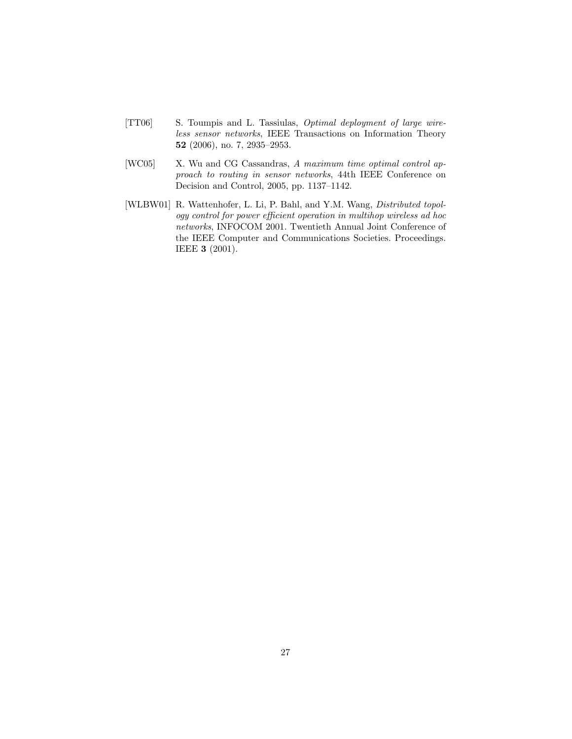- [TT06] S. Toumpis and L. Tassiulas, Optimal deployment of large wireless sensor networks, IEEE Transactions on Information Theory 52 (2006), no. 7, 2935–2953.
- [WC05] X. Wu and CG Cassandras, A maximum time optimal control approach to routing in sensor networks, 44th IEEE Conference on Decision and Control, 2005, pp. 1137–1142.
- [WLBW01] R. Wattenhofer, L. Li, P. Bahl, and Y.M. Wang, Distributed topology control for power efficient operation in multihop wireless ad hoc networks, INFOCOM 2001. Twentieth Annual Joint Conference of the IEEE Computer and Communications Societies. Proceedings. IEEE 3 (2001).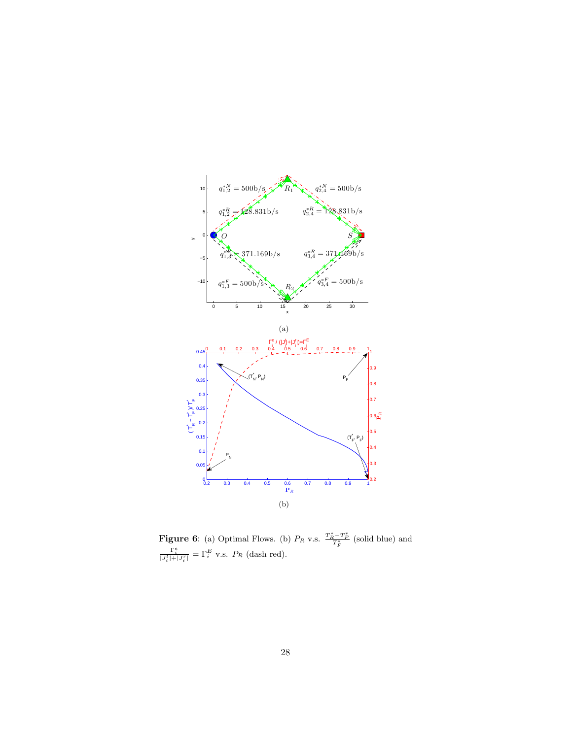

**Figure 6:** (a) Optimal Flows. (b)  $P_R$  v.s.  $\frac{T_R^* - T_F^*}{T_F^*}$  (solid blue) and  $\frac{\Gamma_i^e}{|J_i^t|+|J_i^r|} = \Gamma_i^E$  v.s.  $P_R$  (dash red).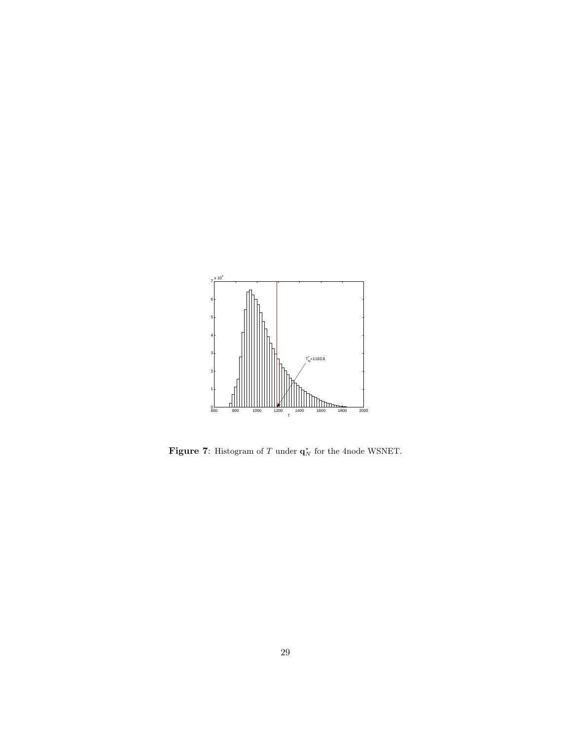

Figure 7: Histogram of T under  $q_N^*$  for the 4node WSNET.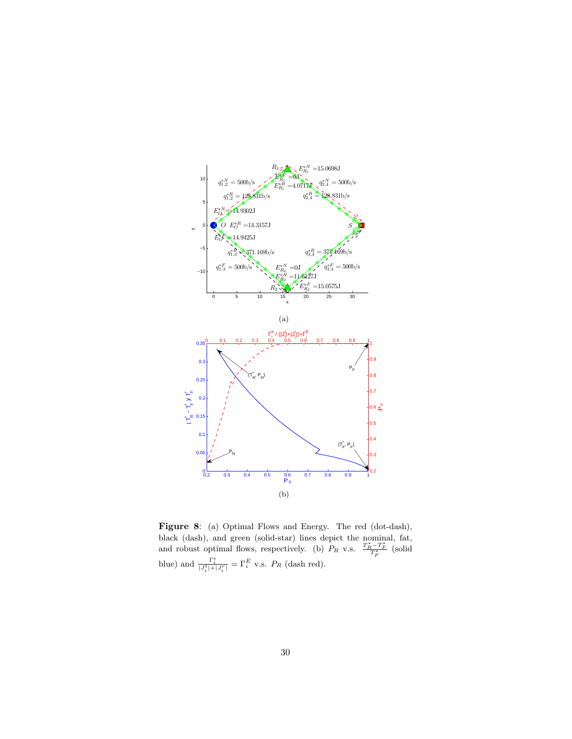

Figure 8: (a) Optimal Flows and Energy. The red (dot-dash), black (dash), and green (solid-star) lines depict the nominal, fat, and robust optimal flows, respectively. (b)  $P_R$  v.s.  $\frac{T_R^* - T_F^*}{T_F^*}$  (solid blue) and  $\frac{\Gamma_i^e}{|J_i^t|+|J_i^r|} = \Gamma_i^E$  v.s.  $P_R$  (dash red).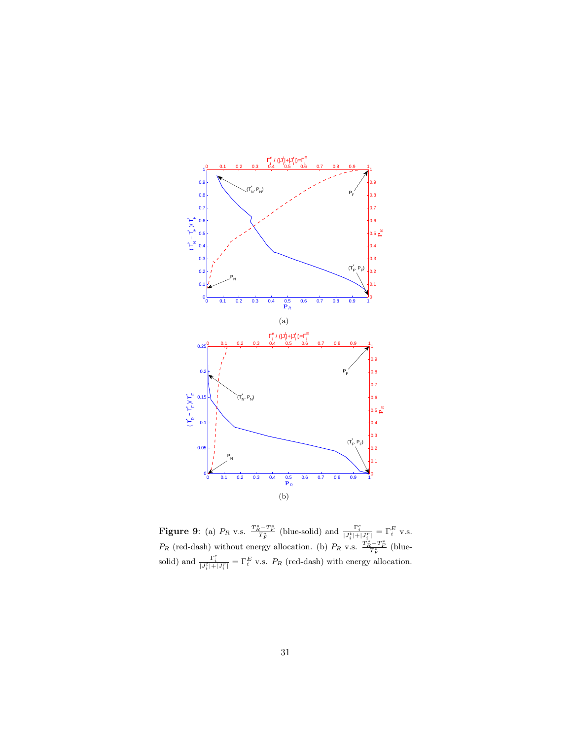

**Figure 9:** (a)  $P_R$  v.s.  $\frac{T_R^* - T_F^*}{T_F^*}$  (blue-solid) and  $\frac{\Gamma_i^e}{|J_i^t| + |J_i^r|} = \Gamma_i^E$  v.s.  $P_R$  (red-dash) without energy allocation. (b)  $P_R$  v.s.  $\frac{T_R^* - T_F^*}{T_F^*}$  (bluesolid) and  $\frac{\Gamma_i^e}{|J_i^t|+|J_i^r|} = \Gamma_i^E$  v.s.  $P_R$  (red-dash) with energy allocation.